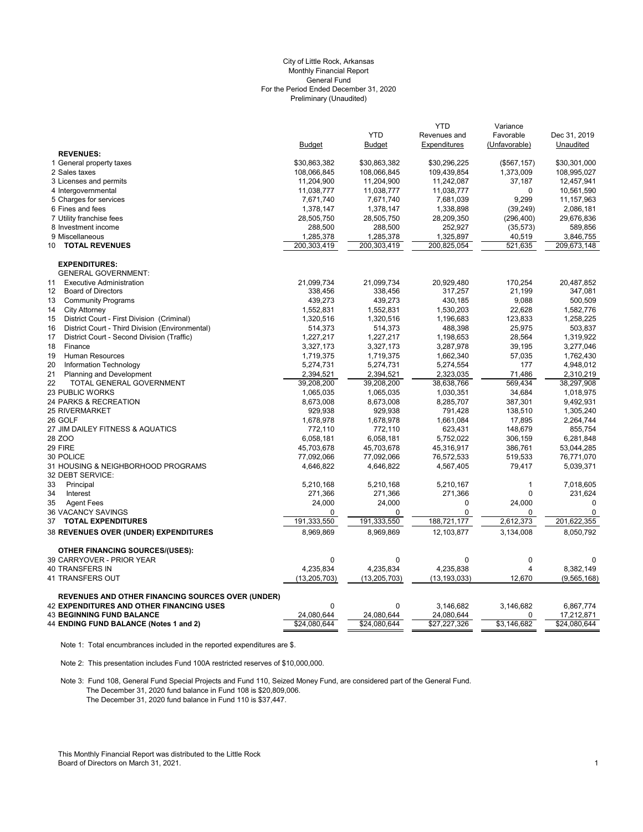#### Preliminary (Unaudited) City of Little Rock, Arkansas Monthly Financial Report General Fund For the Period Ended December 31, 2020

|                                                          |                |                | <b>YTD</b>     | Variance      |              |
|----------------------------------------------------------|----------------|----------------|----------------|---------------|--------------|
|                                                          |                | <b>YTD</b>     | Revenues and   | Favorable     | Dec 31, 2019 |
|                                                          | <b>Budget</b>  | <b>Budget</b>  | Expenditures   | (Unfavorable) | Unaudited    |
| <b>REVENUES:</b>                                         |                |                |                |               |              |
| 1 General property taxes                                 | \$30,863,382   | \$30,863,382   | \$30,296,225   | (\$567, 157)  | \$30,301,000 |
| 2 Sales taxes                                            | 108,066,845    | 108,066,845    | 109,439,854    | 1,373,009     | 108,995,027  |
| 3 Licenses and permits                                   | 11,204,900     | 11,204,900     | 11,242,087     | 37,187        | 12,457,941   |
| 4 Intergovernmental                                      | 11,038,777     | 11,038,777     | 11,038,777     | $\Omega$      | 10,561,590   |
| 5 Charges for services                                   | 7,671,740      | 7,671,740      | 7,681,039      | 9,299         | 11,157,963   |
| 6 Fines and fees                                         | 1,378,147      | 1,378,147      | 1,338,898      | (39, 249)     | 2,086,181    |
| 7 Utility franchise fees                                 | 28,505,750     | 28,505,750     | 28,209,350     | (296, 400)    | 29,676,836   |
| 8 Investment income                                      | 288,500        | 288,500        | 252,927        | (35, 573)     | 589,856      |
| 9 Miscellaneous                                          | 1,285,378      | 1,285,378      | 1,325,897      | 40,519        | 3,846,755    |
| <b>TOTAL REVENUES</b><br>10                              | 200,303,419    | 200,303,419    | 200,825,054    | 521,635       | 209,673,148  |
| <b>EXPENDITURES:</b>                                     |                |                |                |               |              |
| <b>GENERAL GOVERNMENT:</b>                               |                |                |                |               |              |
| 11<br><b>Executive Administration</b>                    | 21,099,734     | 21,099,734     | 20,929,480     | 170,254       | 20,487,852   |
| 12<br><b>Board of Directors</b>                          | 338,456        | 338,456        | 317,257        | 21,199        | 347,081      |
| <b>Community Programs</b><br>13                          | 439,273        | 439,273        | 430,185        | 9,088         | 500,509      |
| 14<br><b>City Attorney</b>                               | 1,552,831      | 1,552,831      | 1,530,203      | 22,628        | 1,582,776    |
| District Court - First Division (Criminal)<br>15         | 1,320,516      | 1,320,516      | 1,196,683      | 123,833       | 1,258,225    |
| District Court - Third Division (Environmental)<br>16    | 514,373        | 514,373        | 488,398        | 25,975        | 503,837      |
| 17<br>District Court - Second Division (Traffic)         | 1,227,217      | 1,227,217      | 1,198,653      | 28,564        | 1,319,922    |
| 18<br>Finance                                            | 3,327,173      | 3,327,173      | 3,287,978      | 39,195        | 3,277,046    |
| 19<br>Human Resources                                    | 1,719,375      | 1,719,375      | 1,662,340      | 57,035        | 1,762,430    |
| 20<br>Information Technology                             | 5,274,731      | 5,274,731      | 5,274,554      | 177           | 4,948,012    |
| 21<br><b>Planning and Development</b>                    | 2,394,521      | 2,394,521      | 2,323,035      | 71,486        | 2,310,219    |
| 22<br>TOTAL GENERAL GOVERNMENT                           | 39,208,200     | 39,208,200     | 38,638,766     | 569,434       | 38,297,908   |
| 23 PUBLIC WORKS                                          | 1,065,035      | 1,065,035      | 1,030,351      | 34,684        | 1,018,975    |
| 24 PARKS & RECREATION                                    | 8,673,008      | 8,673,008      | 8,285,707      | 387,301       | 9,492,931    |
| <b>25 RIVERMARKET</b>                                    | 929,938        | 929,938        | 791,428        | 138,510       | 1,305,240    |
| 26 GOLF                                                  | 1,678,978      | 1,678,978      | 1,661,084      | 17,895        | 2,264,744    |
| 27 JIM DAILEY FITNESS & AQUATICS                         | 772,110        | 772,110        | 623,431        | 148,679       | 855,754      |
| 28 ZOO                                                   | 6,058,181      | 6,058,181      | 5,752,022      | 306,159       | 6,281,848    |
| 29 FIRE                                                  | 45,703,678     | 45,703,678     | 45,316,917     | 386,761       | 53,044,285   |
| 30 POLICE                                                | 77,092,066     | 77,092,066     | 76,572,533     | 519,533       | 76,771,070   |
| 31 HOUSING & NEIGHBORHOOD PROGRAMS                       | 4,646,822      | 4,646,822      | 4,567,405      | 79,417        | 5,039,371    |
| 32 DEBT SERVICE:                                         |                |                |                |               |              |
| 33<br>Principal                                          | 5,210,168      | 5,210,168      | 5,210,167      | $\mathbf{1}$  | 7,018,605    |
| Interest<br>34                                           | 271,366        | 271,366        | 271,366        | $\mathbf 0$   | 231,624      |
| 35<br><b>Agent Fees</b>                                  | 24,000         | 24,000         | 0              | 24,000        | $\mathbf 0$  |
| 36 VACANCY SAVINGS                                       | 0              | $\Omega$       | $\Omega$       | 0             | $\mathbf 0$  |
| <b>TOTAL EXPENDITURES</b><br>37                          | 191,333,550    | 191,333,550    | 188,721,177    | 2,612,373     | 201,622,355  |
| <b>38 REVENUES OVER (UNDER) EXPENDITURES</b>             | 8,969,869      | 8,969,869      | 12,103,877     | 3,134,008     | 8,050,792    |
| <b>OTHER FINANCING SOURCES/(USES):</b>                   |                |                |                |               |              |
| 39 CARRYOVER - PRIOR YEAR                                | $\mathbf{0}$   | $\mathbf 0$    | $\mathbf 0$    | $\mathbf{0}$  | $\mathbf 0$  |
| 40 TRANSFERS IN                                          | 4,235,834      | 4,235,834      | 4,235,838      | 4             | 8,382,149    |
| 41 TRANSFERS OUT                                         | (13, 205, 703) | (13, 205, 703) | (13, 193, 033) | 12,670        | (9,565,168)  |
|                                                          |                |                |                |               |              |
| <b>REVENUES AND OTHER FINANCING SOURCES OVER (UNDER)</b> |                |                |                |               |              |
| <b>42 EXPENDITURES AND OTHER FINANCING USES</b>          | $\Omega$       | $\Omega$       | 3,146,682      | 3,146,682     | 6,867,774    |
| <b>43 BEGINNING FUND BALANCE</b>                         | 24,080,644     | 24,080,644     | 24,080,644     | 0             | 17,212,871   |
| 44 ENDING FUND BALANCE (Notes 1 and 2)                   | \$24,080,644   | \$24,080,644   | \$27,227,326   | \$3,146,682   | \$24,080,644 |

Note 1: Total encumbrances included in the reported expenditures are \$.

Note 2: This presentation includes Fund 100A restricted reserves of \$10,000,000.

Note 3: Fund 108, General Fund Special Projects and Fund 110, Seized Money Fund, are considered part of the General Fund. The December 31, 2020 fund balance in Fund 108 is \$20,809,006. The December 31, 2020 fund balance in Fund 110 is \$37,447.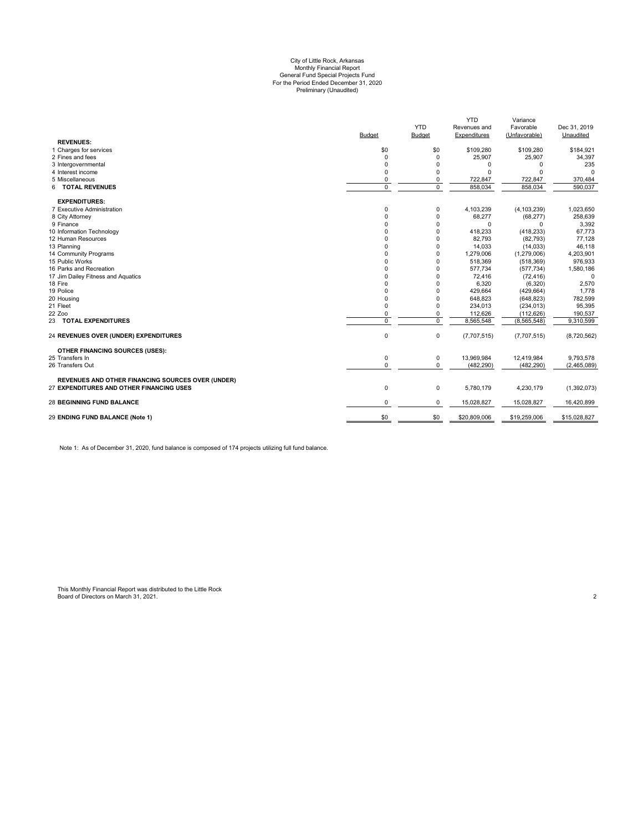# Preliminary (Unaudited) City of Little Rock, Arkansas Monthly Financial Report General Fund Special Projects Fund For the Period Ended December 31, 2020

|                                                          |                |                | <b>YTD</b>   | Variance      |              |
|----------------------------------------------------------|----------------|----------------|--------------|---------------|--------------|
|                                                          |                | <b>YTD</b>     | Revenues and | Favorable     | Dec 31, 2019 |
|                                                          | Budget         | <b>Budget</b>  | Expenditures | (Unfavorable) | Unaudited    |
| <b>REVENUES:</b>                                         |                |                |              |               |              |
| 1 Charges for services                                   | \$0            | \$0            | \$109,280    | \$109,280     | \$184,921    |
| 2 Fines and fees                                         | $\mathbf 0$    | $\mathbf 0$    | 25,907       | 25,907        | 34,397       |
| 3 Intergovernmental                                      | 0              | $\Omega$       | $\Omega$     | $\Omega$      | 235          |
| 4 Interest income                                        | $\mathbf 0$    | $\Omega$       | $\Omega$     | $\Omega$      | $\Omega$     |
| 5 Miscellaneous                                          | 0              | 0              | 722,847      | 722,847       | 370,484      |
| 6 TOTAL REVENUES                                         | $\overline{0}$ | $\overline{0}$ | 858,034      | 858,034       | 590.037      |
| <b>EXPENDITURES:</b>                                     |                |                |              |               |              |
| 7 Executive Administration                               | 0              | 0              | 4,103,239    | (4, 103, 239) | 1,023,650    |
| 8 City Attorney                                          | $\mathbf 0$    | $\Omega$       | 68,277       | (68, 277)     | 258,639      |
| 9 Finance                                                | 0              | $\Omega$       | 0            | $\Omega$      | 3,392        |
| 10 Information Technology                                | 0              | $\Omega$       | 418,233      | (418, 233)    | 67,773       |
| 12 Human Resources                                       | 0              | $\Omega$       | 82,793       | (82, 793)     | 77,128       |
| 13 Planning                                              | 0              | $\Omega$       | 14,033       | (14, 033)     | 46,118       |
| 14 Community Programs                                    | $\Omega$       | $\Omega$       | 1,279,006    | (1,279,006)   | 4,203,901    |
| 15 Public Works                                          | 0              | $\Omega$       | 518,369      | (518, 369)    | 976,933      |
| 16 Parks and Recreation                                  | 0              | $\Omega$       | 577,734      | (577, 734)    | 1,580,186    |
| 17 Jim Dailey Fitness and Aquatics                       | 0              | $\Omega$       | 72,416       | (72, 416)     | $\Omega$     |
| 18 Fire                                                  | 0              | $\Omega$       | 6,320        | (6,320)       | 2,570        |
| 19 Police                                                | 0              | $\Omega$       | 429,664      | (429, 664)    | 1,778        |
| 20 Housing                                               | $\mathbf 0$    | $\Omega$       | 648,823      | (648, 823)    | 782,599      |
| 21 Fleet                                                 | $\mathbf 0$    | $\Omega$       | 234,013      | (234, 013)    | 95,395       |
| 22 Zoo                                                   | 0              | $\Omega$       | 112,626      | (112, 626)    | 190,537      |
| 23 TOTAL EXPENDITURES                                    | $\Omega$       | $\Omega$       | 8,565,548    | (8, 565, 548) | 9,310,599    |
| 24 REVENUES OVER (UNDER) EXPENDITURES                    | 0              | 0              | (7,707,515)  | (7,707,515)   | (8,720,562)  |
| OTHER FINANCING SOURCES (USES):                          |                |                |              |               |              |
| 25 Transfers In                                          | 0              | 0              | 13.969.984   | 12,419,984    | 9,793,578    |
| 26 Transfers Out                                         | $\mathbf 0$    | 0              | (482, 290)   | (482, 290)    | (2,465,089)  |
| <b>REVENUES AND OTHER FINANCING SOURCES OVER (UNDER)</b> |                |                |              |               |              |
| 27 EXPENDITURES AND OTHER FINANCING USES                 | 0              | 0              | 5,780,179    | 4,230,179     | (1,392,073)  |
| <b>28 BEGINNING FUND BALANCE</b>                         | 0              | 0              | 15,028,827   | 15,028,827    | 16,420,899   |
| 29 ENDING FUND BALANCE (Note 1)                          | \$0            | \$0            | \$20,809,006 | \$19,259,006  | \$15,028,827 |
|                                                          |                |                |              |               |              |

Note 1: As of December 31, 2020, fund balance is composed of 174 projects utilizing full fund balance.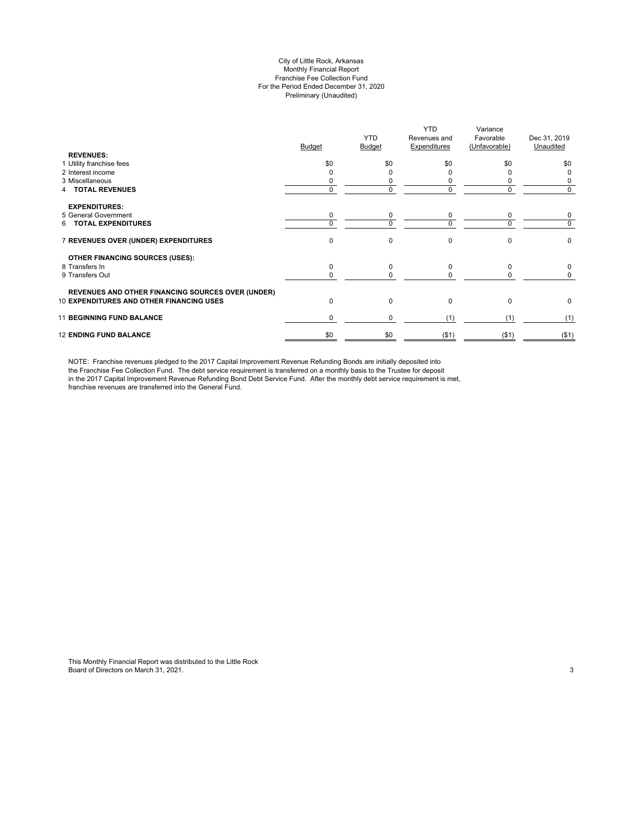#### City of Little Rock, Arkansas Monthly Financial Report Franchise Fee Collection Fund For the Period Ended December 31, 2020 Preliminary (Unaudited)

| <b>REVENUES:</b>                                         | <b>Budget</b> | <b>YTD</b><br>Budget | <b>YTD</b><br>Revenues and<br>Expenditures | Variance<br>Favorable<br>(Unfavorable) | Dec 31, 2019<br>Unaudited |
|----------------------------------------------------------|---------------|----------------------|--------------------------------------------|----------------------------------------|---------------------------|
| 1 Utility franchise fees                                 | \$0           | \$0                  | \$0                                        | \$0                                    | \$0                       |
| 2 Interest income                                        |               | ი                    |                                            |                                        | 0                         |
| 3 Miscellaneous                                          |               | 0                    | 0                                          |                                        | 0                         |
| <b>TOTAL REVENUES</b>                                    | 0             | 0                    | $\Omega$                                   | 0                                      | 0                         |
| <b>EXPENDITURES:</b>                                     |               |                      |                                            |                                        |                           |
| 5 General Government                                     | 0             | 0                    | 0                                          | 0                                      | 0                         |
| <b>TOTAL EXPENDITURES</b><br>6                           | $\Omega$      | 0                    | $\Omega$                                   | <sup>0</sup>                           | 0                         |
| 7 REVENUES OVER (UNDER) EXPENDITURES                     | $\Omega$      | 0                    | 0                                          | $\Omega$                               | 0                         |
| <b>OTHER FINANCING SOURCES (USES):</b>                   |               |                      |                                            |                                        |                           |
| 8 Transfers In                                           | $\Omega$      | 0                    | $\Omega$                                   | 0                                      | 0                         |
| 9 Transfers Out                                          | 0             | 0                    | <sup>0</sup>                               |                                        | 0                         |
| <b>REVENUES AND OTHER FINANCING SOURCES OVER (UNDER)</b> |               |                      |                                            |                                        |                           |
| <b>10 EXPENDITURES AND OTHER FINANCING USES</b>          | $\Omega$      | 0                    | $\Omega$                                   | $\Omega$                               | 0                         |
| <b>11 BEGINNING FUND BALANCE</b>                         | $\Omega$      | 0                    | (1)                                        | (1)                                    | (1)                       |
| <b>12 ENDING FUND BALANCE</b>                            | \$0           | \$0                  | ( \$1)                                     | $($ \$1)                               | ( \$1)                    |

NOTE: Franchise revenues pledged to the 2017 Capital Improvement Revenue Refunding Bonds are initially deposited into the Franchise Fee Collection Fund. The debt service requirement is transferred on a monthly basis to the Trustee for deposit in the 2017 Capital Improvement Revenue Refunding Bond Debt Service Fund. After the monthly debt service requirement is met, franchise revenues are transferred into the General Fund.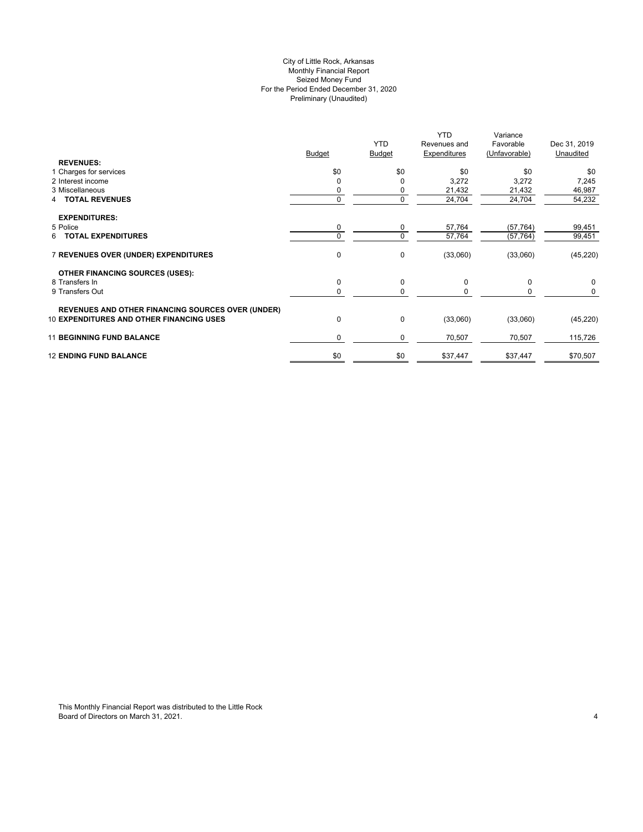# City of Little Rock, Arkansas Preliminary (Unaudited) For the Period Ended December 31, 2020 Seized Money Fund Monthly Financial Report

| <b>REVENUES:</b>                                         | <b>Budget</b> | <b>YTD</b><br><b>Budget</b> | <b>YTD</b><br>Revenues and<br>Expenditures | Variance<br>Favorable<br>(Unfavorable) | Dec 31, 2019<br>Unaudited |
|----------------------------------------------------------|---------------|-----------------------------|--------------------------------------------|----------------------------------------|---------------------------|
| 1 Charges for services                                   | \$0           | \$0                         | \$0                                        | \$0                                    | \$0                       |
| 2 Interest income                                        | 0             | 0                           | 3,272                                      | 3,272                                  | 7,245                     |
| 3 Miscellaneous                                          |               | 0                           | 21,432                                     | 21,432                                 | 46,987                    |
| <b>4 TOTAL REVENUES</b>                                  | 0             | $\mathbf 0$                 | 24,704                                     | 24,704                                 | 54,232                    |
| <b>EXPENDITURES:</b>                                     |               |                             |                                            |                                        |                           |
| 5 Police                                                 | 0             | 0                           | 57,764                                     | (57, 764)                              | 99,451                    |
| 6 TOTAL EXPENDITURES                                     |               | 0                           | 57,764                                     | (57, 764)                              | 99,451                    |
| 7 REVENUES OVER (UNDER) EXPENDITURES                     | 0             | 0                           | (33,060)                                   | (33,060)                               | (45, 220)                 |
| <b>OTHER FINANCING SOURCES (USES):</b>                   |               |                             |                                            |                                        |                           |
| 8 Transfers In                                           | 0             | 0                           | 0                                          | $\mathbf 0$                            | 0                         |
| 9 Transfers Out                                          | 0             | 0                           | 0                                          | 0                                      | 0                         |
| <b>REVENUES AND OTHER FINANCING SOURCES OVER (UNDER)</b> |               |                             |                                            |                                        |                           |
| <b>10 EXPENDITURES AND OTHER FINANCING USES</b>          | $\mathbf 0$   | 0                           | (33,060)                                   | (33,060)                               | (45, 220)                 |
| <b>11 BEGINNING FUND BALANCE</b>                         | $\Omega$      | 0                           | 70,507                                     | 70,507                                 | 115,726                   |
| <b>12 ENDING FUND BALANCE</b>                            | \$0           | \$0                         | \$37,447                                   | \$37,447                               | \$70,507                  |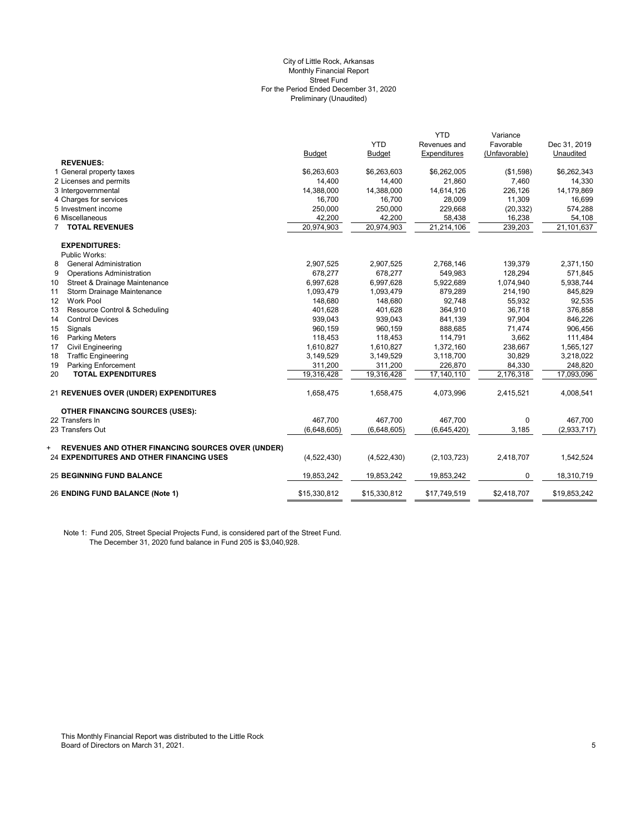#### Preliminary (Unaudited) City of Little Rock, Arkansas Monthly Financial Report Street Fund For the Period Ended December 31, 2020

|                                                               |               |               | <b>YTD</b>          | Variance      |              |
|---------------------------------------------------------------|---------------|---------------|---------------------|---------------|--------------|
|                                                               |               | <b>YTD</b>    | Revenues and        | Favorable     | Dec 31, 2019 |
|                                                               | <b>Budget</b> | <b>Budget</b> | <b>Expenditures</b> | (Unfavorable) | Unaudited    |
| <b>REVENUES:</b>                                              |               |               |                     |               |              |
| 1 General property taxes                                      | \$6,263,603   | \$6,263,603   | \$6,262,005         | (\$1,598)     | \$6,262,343  |
| 2 Licenses and permits                                        | 14,400        | 14,400        | 21,860              | 7,460         | 14,330       |
| 3 Intergovernmental                                           | 14,388,000    | 14,388,000    | 14,614,126          | 226,126       | 14,179,869   |
| 4 Charges for services                                        | 16,700        | 16,700        | 28,009              | 11,309        | 16,699       |
| 5 Investment income                                           | 250,000       | 250,000       | 229,668             | (20, 332)     | 574,288      |
| 6 Miscellaneous                                               | 42,200        | 42,200        | 58,438              | 16,238        | 54,108       |
| <b>TOTAL REVENUES</b><br>$\overline{7}$                       | 20,974,903    | 20,974,903    | 21,214,106          | 239,203       | 21,101,637   |
| <b>EXPENDITURES:</b>                                          |               |               |                     |               |              |
| Public Works:                                                 |               |               |                     |               |              |
| <b>General Administration</b><br>8                            | 2,907,525     | 2,907,525     | 2,768,146           | 139,379       | 2,371,150    |
| 9<br><b>Operations Administration</b>                         | 678,277       | 678,277       | 549,983             | 128,294       | 571,845      |
| Street & Drainage Maintenance<br>10                           | 6,997,628     | 6,997,628     | 5,922,689           | 1,074,940     | 5,938,744    |
| Storm Drainage Maintenance<br>11                              | 1,093,479     | 1,093,479     | 879,289             | 214,190       | 845.829      |
| <b>Work Pool</b><br>12                                        | 148,680       | 148,680       | 92,748              | 55,932        | 92,535       |
| 13<br>Resource Control & Scheduling                           | 401,628       | 401,628       | 364,910             | 36.718        | 376,858      |
| <b>Control Devices</b><br>14                                  | 939,043       | 939,043       | 841,139             | 97,904        | 846,226      |
| 15<br>Signals                                                 | 960.159       | 960.159       | 888.685             | 71,474        | 906,456      |
| 16<br><b>Parking Meters</b>                                   | 118,453       | 118,453       | 114,791             | 3,662         | 111,484      |
| <b>Civil Engineering</b><br>17                                | 1,610,827     | 1,610,827     | 1,372,160           | 238,667       | 1,565,127    |
| 18<br><b>Traffic Engineering</b>                              | 3,149,529     | 3,149,529     | 3,118,700           | 30,829        | 3,218,022    |
| 19<br><b>Parking Enforcement</b>                              | 311,200       | 311,200       | 226,870             | 84,330        | 248,820      |
| 20<br><b>TOTAL EXPENDITURES</b>                               | 19,316,428    | 19,316,428    | 17,140,110          | 2,176,318     | 17,093,096   |
| 21 REVENUES OVER (UNDER) EXPENDITURES                         | 1,658,475     | 1,658,475     | 4,073,996           | 2,415,521     | 4,008,541    |
| <b>OTHER FINANCING SOURCES (USES):</b>                        |               |               |                     |               |              |
| 22 Transfers In                                               | 467.700       | 467.700       | 467.700             | $\mathbf 0$   | 467,700      |
| 23 Transfers Out                                              | (6,648,605)   | (6,648,605)   | (6,645,420)         | 3,185         | (2,933,717)  |
| <b>REVENUES AND OTHER FINANCING SOURCES OVER (UNDER)</b><br>+ |               |               |                     |               |              |
| 24 EXPENDITURES AND OTHER FINANCING USES                      | (4,522,430)   | (4,522,430)   | (2, 103, 723)       | 2,418,707     | 1,542,524    |
| <b>25 BEGINNING FUND BALANCE</b>                              | 19,853,242    | 19,853,242    | 19,853,242          | 0             | 18,310,719   |
| 26 ENDING FUND BALANCE (Note 1)                               | \$15,330,812  | \$15,330,812  | \$17,749,519        | \$2,418,707   | \$19,853,242 |

Note 1: Fund 205, Street Special Projects Fund, is considered part of the Street Fund. The December 31, 2020 fund balance in Fund 205 is \$3,040,928.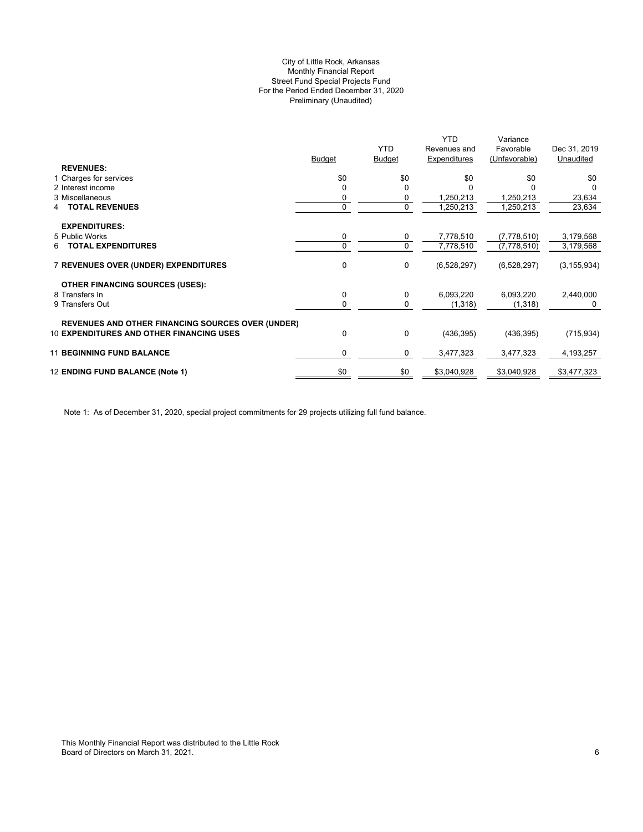# Preliminary (Unaudited) City of Little Rock, Arkansas Monthly Financial Report Street Fund Special Projects Fund For the Period Ended December 31, 2020

|                                                          |             |               | <b>YTD</b>   | Variance      |               |
|----------------------------------------------------------|-------------|---------------|--------------|---------------|---------------|
|                                                          |             | <b>YTD</b>    | Revenues and | Favorable     | Dec 31, 2019  |
|                                                          | Budget      | <b>Budget</b> | Expenditures | (Unfavorable) | Unaudited     |
| <b>REVENUES:</b>                                         |             |               |              |               |               |
| 1 Charges for services                                   | \$0         | \$0           | \$0          | \$0           | \$0           |
| 2 Interest income                                        |             | $\Omega$      |              |               |               |
| 3 Miscellaneous                                          |             | 0             | 1,250,213    | 1,250,213     | 23,634        |
| <b>TOTAL REVENUES</b><br>4                               | $\mathbf 0$ | 0             | 1,250,213    | 1,250,213     | 23,634        |
| <b>EXPENDITURES:</b>                                     |             |               |              |               |               |
| 5 Public Works                                           | 0           | 0             | 7,778,510    | (7,778,510)   | 3,179,568     |
| <b>TOTAL EXPENDITURES</b><br>6                           | 0           | $\mathbf 0$   | 7,778,510    | (7,778,510)   | 3,179,568     |
|                                                          |             |               |              |               |               |
| 7 REVENUES OVER (UNDER) EXPENDITURES                     | 0           | 0             | (6,528,297)  | (6,528,297)   | (3, 155, 934) |
| <b>OTHER FINANCING SOURCES (USES):</b>                   |             |               |              |               |               |
| 8 Transfers In                                           | 0           | 0             | 6,093,220    | 6,093,220     | 2,440,000     |
| 9 Transfers Out                                          | 0           | 0             | (1,318)      | (1,318)       | 0             |
| <b>REVENUES AND OTHER FINANCING SOURCES OVER (UNDER)</b> |             |               |              |               |               |
| <b>10 EXPENDITURES AND OTHER FINANCING USES</b>          | 0           | 0             | (436, 395)   | (436, 395)    | (715, 934)    |
| <b>11 BEGINNING FUND BALANCE</b>                         | 0           | 0             | 3,477,323    | 3,477,323     | 4,193,257     |
|                                                          |             |               |              |               |               |
| 12 ENDING FUND BALANCE (Note 1)                          | \$0         | \$0           | \$3,040,928  | \$3,040,928   | \$3,477,323   |

Note 1: As of December 31, 2020, special project commitments for 29 projects utilizing full fund balance.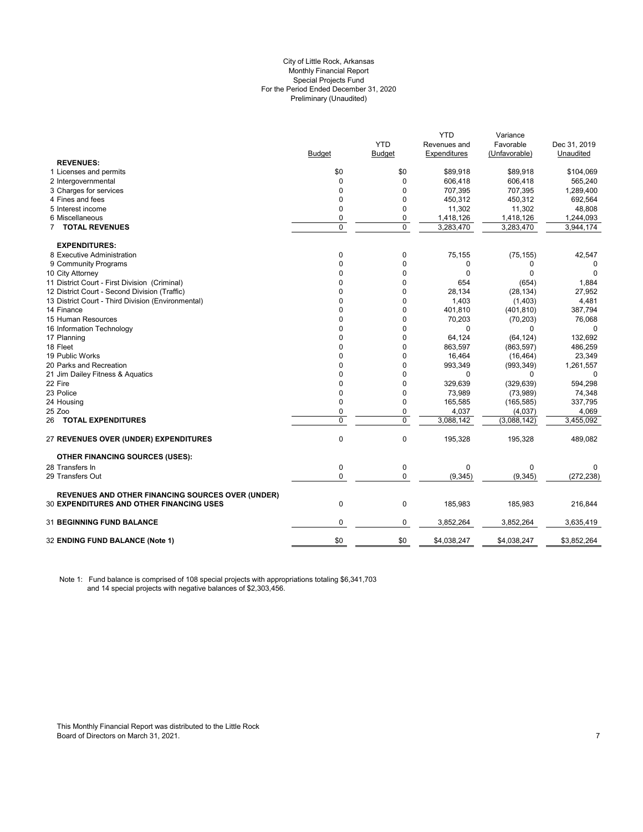#### City of Little Rock, Arkansas Preliminary (Unaudited) For the Period Ended December 31, 2020 Special Projects Fund Monthly Financial Report

|                                                          |                |            | YTD          | Variance      |              |
|----------------------------------------------------------|----------------|------------|--------------|---------------|--------------|
|                                                          |                | <b>YTD</b> | Revenues and | Favorable     | Dec 31, 2019 |
|                                                          | <b>Budget</b>  | Budget     | Expenditures | (Unfavorable) | Unaudited    |
| <b>REVENUES:</b>                                         |                |            |              |               |              |
| 1 Licenses and permits                                   | \$0            | \$0        | \$89,918     | \$89,918      | \$104,069    |
| 2 Intergovernmental                                      | 0              | 0          | 606,418      | 606,418       | 565,240      |
| 3 Charges for services                                   | $\mathbf{0}$   | 0          | 707,395      | 707,395       | 1,289,400    |
| 4 Fines and fees                                         | 0              | 0          | 450,312      | 450,312       | 692,564      |
| 5 Interest income                                        | $\mathbf{0}$   | 0          | 11,302       | 11,302        | 48,808       |
| 6 Miscellaneous                                          | $\mathbf{0}$   | 0          | 1,418,126    | 1,418,126     | 1,244,093    |
| 7 TOTAL REVENUES                                         | $\overline{0}$ | 0          | 3,283,470    | 3,283,470     | 3,944,174    |
| <b>EXPENDITURES:</b>                                     |                |            |              |               |              |
| 8 Executive Administration                               | 0              | 0          | 75,155       | (75, 155)     | 42,547       |
| 9 Community Programs                                     | $\mathbf{0}$   | 0          | 0            | 0             | 0            |
| 10 City Attorney                                         | $\Omega$       | $\Omega$   | $\Omega$     | $\Omega$      | $\Omega$     |
| 11 District Court - First Division (Criminal)            | 0              | 0          | 654          | (654)         | 1,884        |
| 12 District Court - Second Division (Traffic)            | 0              | 0          | 28,134       | (28, 134)     | 27,952       |
| 13 District Court - Third Division (Environmental)       | 0              | 0          | 1,403        | (1,403)       | 4,481        |
| 14 Finance                                               | $\Omega$       | 0          | 401,810      | (401, 810)    | 387,794      |
| 15 Human Resources                                       | $\Omega$       | 0          | 70,203       | (70, 203)     | 76,068       |
| 16 Information Technology                                | $\Omega$       | 0          | $\Omega$     | 0             |              |
| 17 Planning                                              | $\mathbf 0$    | 0          | 64,124       | (64, 124)     | 132,692      |
| 18 Fleet                                                 | 0              | 0          | 863,597      | (863, 597)    | 486,259      |
| 19 Public Works                                          | $\Omega$       | $\Omega$   | 16,464       | (16, 464)     | 23,349       |
| 20 Parks and Recreation                                  | 0              | 0          | 993,349      | (993, 349)    | 1,261,557    |
| 21 Jim Dailey Fitness & Aquatics                         | 0              | 0          | $\mathbf 0$  | 0             | $\Omega$     |
| 22 Fire                                                  | 0              | 0          | 329,639      | (329, 639)    | 594,298      |
| 23 Police                                                | $\mathbf{0}$   | 0          | 73,989       | (73,989)      | 74,348       |
| 24 Housing                                               | $\mathbf 0$    | 0          | 165,585      | (165, 585)    | 337,795      |
| 25 Zoo                                                   | $\mathbf{0}$   | 0          | 4,037        | (4,037)       | 4,069        |
| 26 TOTAL EXPENDITURES                                    | $\overline{0}$ | 0          | 3,088,142    | (3,088,142)   | 3,455,092    |
|                                                          |                |            |              |               |              |
| 27 REVENUES OVER (UNDER) EXPENDITURES                    | $\mathbf 0$    | 0          | 195,328      | 195,328       | 489,082      |
| <b>OTHER FINANCING SOURCES (USES):</b>                   |                |            |              |               |              |
| 28 Transfers In                                          | 0              | 0          | $\mathbf 0$  | 0             | 0            |
| 29 Transfers Out                                         | $\mathbf 0$    | 0          | (9, 345)     | (9, 345)      | (272, 238)   |
| <b>REVENUES AND OTHER FINANCING SOURCES OVER (UNDER)</b> |                |            |              |               |              |
| <b>30 EXPENDITURES AND OTHER FINANCING USES</b>          | $\mathbf 0$    | 0          | 185,983      | 185,983       | 216,844      |
| 31 BEGINNING FUND BALANCE                                | $\mathbf 0$    | 0          | 3,852,264    | 3,852,264     | 3,635,419    |
| 32 ENDING FUND BALANCE (Note 1)                          | \$0            | \$0        | \$4,038,247  | \$4,038,247   | \$3,852,264  |
|                                                          |                |            |              |               |              |

Note 1: Fund balance is comprised of 108 special projects with appropriations totaling \$6,341,703 and 14 special projects with negative balances of \$2,303,456.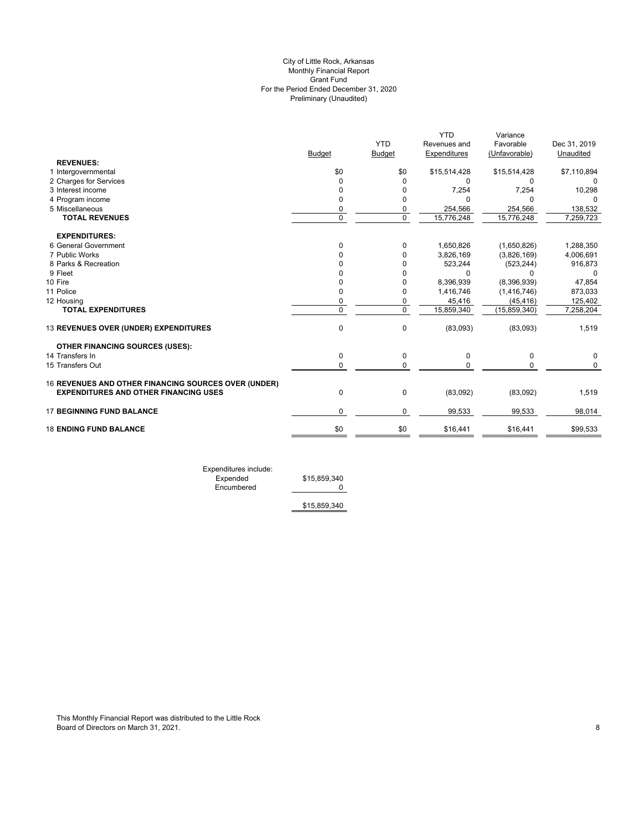# Preliminary (Unaudited) City of Little Rock, Arkansas Monthly Financial Report Grant Fund For the Period Ended December 31, 2020

|                                                      |               |                | <b>YTD</b>   | Variance       |              |
|------------------------------------------------------|---------------|----------------|--------------|----------------|--------------|
|                                                      |               | <b>YTD</b>     | Revenues and | Favorable      | Dec 31, 2019 |
|                                                      | <b>Budget</b> | <b>Budget</b>  | Expenditures | (Unfavorable)  | Unaudited    |
| <b>REVENUES:</b>                                     |               |                |              |                |              |
| 1 Intergovernmental                                  | \$0           | \$0            | \$15,514,428 | \$15,514,428   | \$7,110,894  |
| 2 Charges for Services                               | 0             | 0              | 0            | 0              |              |
| 3 Interest income                                    | <sup>0</sup>  | 0              | 7,254        | 7,254          | 10,298       |
| 4 Program income                                     | <sup>0</sup>  | 0              | $\Omega$     | $\Omega$       |              |
| 5 Miscellaneous                                      | 0             | 0              | 254,566      | 254,566        | 138,532      |
| <b>TOTAL REVENUES</b>                                | $\Omega$      | $\overline{0}$ | 15,776,248   | 15,776,248     | 7,259,723    |
| <b>EXPENDITURES:</b>                                 |               |                |              |                |              |
| 6 General Government                                 | 0             | 0              | 1,650,826    | (1,650,826)    | 1,288,350    |
| 7 Public Works                                       | O             | 0              | 3,826,169    | (3,826,169)    | 4,006,691    |
| 8 Parks & Recreation                                 |               | 0              | 523,244      | (523, 244)     | 916,873      |
| 9 Fleet                                              |               | 0              | $\Omega$     | $\Omega$       | $\Omega$     |
| 10 Fire                                              | n             | 0              | 8,396,939    | (8,396,939)    | 47,854       |
| 11 Police                                            | O             | 0              | 1,416,746    | (1, 416, 746)  | 873,033      |
| 12 Housing                                           | 0             | 0              | 45,416       | (45, 416)      | 125,402      |
| <b>TOTAL EXPENDITURES</b>                            | $\Omega$      | $\mathbf 0$    | 15,859,340   | (15, 859, 340) | 7,258,204    |
| 13 REVENUES OVER (UNDER) EXPENDITURES                | $\mathbf 0$   | 0              | (83,093)     | (83,093)       | 1,519        |
| <b>OTHER FINANCING SOURCES (USES):</b>               |               |                |              |                |              |
| 14 Transfers In                                      | $\mathbf 0$   | $\pmb{0}$      | 0            | 0              | 0            |
| 15 Transfers Out                                     | 0             | 0              | $\Omega$     | $\Omega$       | 0            |
| 16 REVENUES AND OTHER FINANCING SOURCES OVER (UNDER) |               |                |              |                |              |
| <b>EXPENDITURES AND OTHER FINANCING USES</b>         | $\mathbf 0$   | 0              | (83,092)     | (83,092)       | 1,519        |
| <b>17 BEGINNING FUND BALANCE</b>                     | 0             | 0              | 99,533       | 99,533         | 98,014       |
| <b>18 ENDING FUND BALANCE</b>                        | \$0           | \$0            | \$16,441     | \$16,441       | \$99,533     |
|                                                      |               |                |              |                |              |

Expenditures include: Expended \$15,859,340 Encumbered 0

\$15,859,340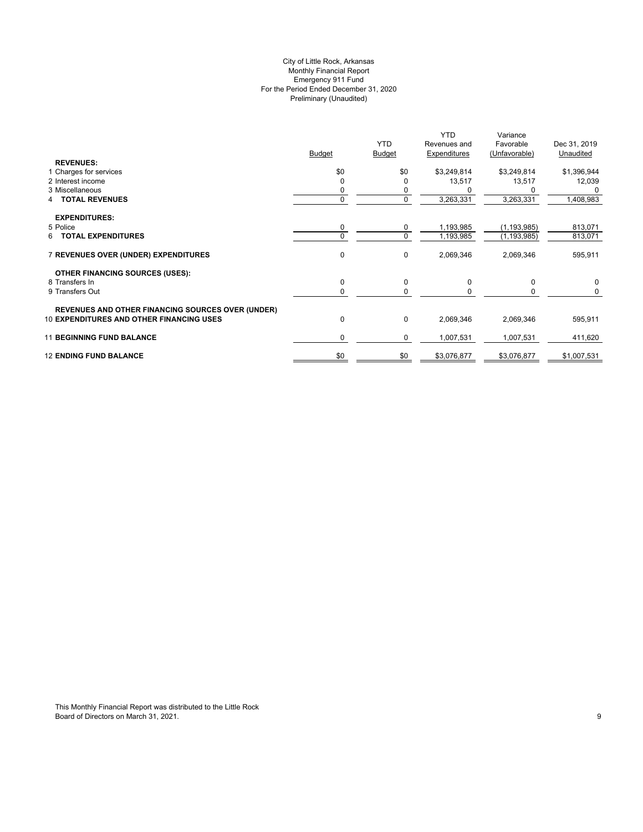# Preliminary (Unaudited) City of Little Rock, Arkansas Monthly Financial Report Emergency 911 Fund For the Period Ended December 31, 2020

|                                                          |               |               | <b>YTD</b>   | Variance      |              |
|----------------------------------------------------------|---------------|---------------|--------------|---------------|--------------|
|                                                          |               | <b>YTD</b>    | Revenues and | Favorable     | Dec 31, 2019 |
|                                                          | <b>Budget</b> | <b>Budget</b> | Expenditures | (Unfavorable) | Unaudited    |
| <b>REVENUES:</b>                                         |               |               |              |               |              |
| 1 Charges for services                                   | \$0           | \$0           | \$3,249,814  | \$3,249,814   | \$1,396,944  |
| 2 Interest income                                        | $\Omega$      | O             | 13,517       | 13,517        | 12,039       |
| 3 Miscellaneous                                          |               | 0             |              |               |              |
| <b>TOTAL REVENUES</b>                                    | $\Omega$      | $\mathbf 0$   | 3,263,331    | 3,263,331     | 1,408,983    |
|                                                          |               |               |              |               |              |
| <b>EXPENDITURES:</b>                                     |               |               |              |               |              |
| 5 Police                                                 | 0             | 0             | 1,193,985    | (1, 193, 985) | 813,071      |
| <b>TOTAL EXPENDITURES</b><br>6.                          | $\Omega$      | $\mathbf 0$   | 1,193,985    | (1, 193, 985) | 813,071      |
|                                                          |               |               |              |               |              |
| 7 REVENUES OVER (UNDER) EXPENDITURES                     | 0             | 0             | 2,069,346    | 2,069,346     | 595,911      |
|                                                          |               |               |              |               |              |
| <b>OTHER FINANCING SOURCES (USES):</b>                   |               |               |              |               |              |
| 8 Transfers In                                           | 0             | 0             | 0            | 0             | 0            |
| 9 Transfers Out                                          | 0             | $\Omega$      |              |               | 0            |
|                                                          |               |               |              |               |              |
| <b>REVENUES AND OTHER FINANCING SOURCES OVER (UNDER)</b> |               |               |              |               |              |
| <b>10 EXPENDITURES AND OTHER FINANCING USES</b>          | 0             | 0             | 2,069,346    | 2,069,346     | 595,911      |
|                                                          |               |               |              |               |              |
| <b>11 BEGINNING FUND BALANCE</b>                         | 0             | 0             | 1,007,531    | 1,007,531     | 411,620      |
|                                                          |               |               |              |               |              |
| <b>12 ENDING FUND BALANCE</b>                            | \$0           | \$0           | \$3,076,877  | \$3,076,877   | \$1,007,531  |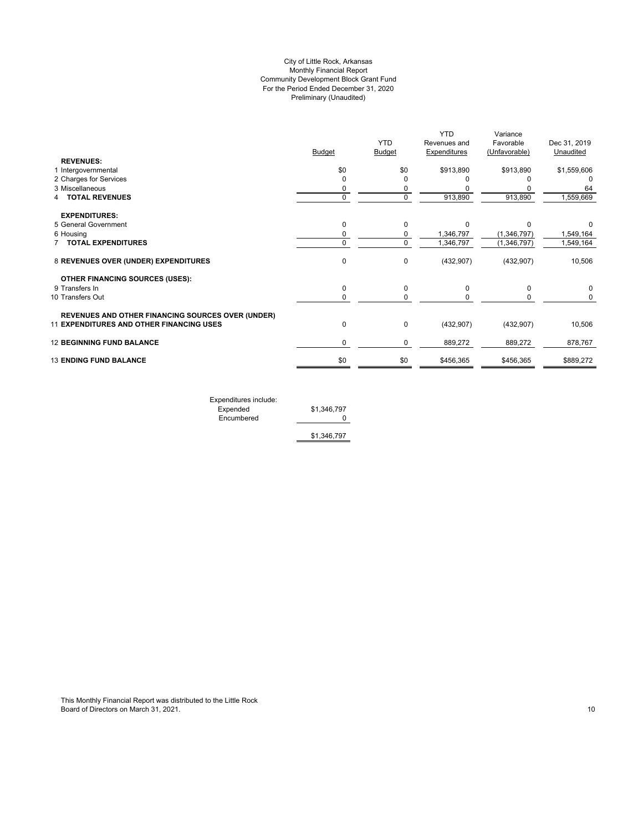# Preliminary (Unaudited) City of Little Rock, Arkansas Monthly Financial Report Community Development Block Grant Fund For the Period Ended December 31, 2020

|                                                          |               |               | <b>YTD</b>   | Variance      |              |
|----------------------------------------------------------|---------------|---------------|--------------|---------------|--------------|
|                                                          |               | <b>YTD</b>    | Revenues and | Favorable     | Dec 31, 2019 |
|                                                          | <b>Budget</b> | <b>Budget</b> | Expenditures | (Unfavorable) | Unaudited    |
| <b>REVENUES:</b>                                         |               |               |              |               |              |
| 1 Intergovernmental                                      | \$0           | \$0           | \$913,890    | \$913,890     | \$1,559,606  |
| 2 Charges for Services                                   | ŋ             |               |              |               |              |
| 3 Miscellaneous                                          | 0             | 0             |              |               | 64           |
| <b>TOTAL REVENUES</b>                                    | 0             | $\mathbf 0$   | 913,890      | 913,890       | 1,559,669    |
| <b>EXPENDITURES:</b>                                     |               |               |              |               |              |
| 5 General Government                                     | 0             | 0             | $\Omega$     | $\Omega$      |              |
| 6 Housing                                                | 0             | $\mathbf 0$   | 1,346,797    | (1,346,797)   | 1,549,164    |
| <b>TOTAL EXPENDITURES</b>                                | 0             | $\mathbf 0$   | 1,346,797    | (1,346,797)   | 1,549,164    |
| 8 REVENUES OVER (UNDER) EXPENDITURES                     | 0             | 0             | (432, 907)   | (432, 907)    | 10,506       |
| <b>OTHER FINANCING SOURCES (USES):</b>                   |               |               |              |               |              |
| 9 Transfers In                                           | $\mathbf 0$   | 0             | $\Omega$     | $\Omega$      | $\Omega$     |
| 10 Transfers Out                                         | 0             | 0             |              | 0             | 0            |
| <b>REVENUES AND OTHER FINANCING SOURCES OVER (UNDER)</b> |               |               |              |               |              |
| <b>11 EXPENDITURES AND OTHER FINANCING USES</b>          | 0             | 0             | (432, 907)   | (432, 907)    | 10,506       |
| <b>12 BEGINNING FUND BALANCE</b>                         | 0             | 0             | 889,272      | 889,272       | 878,767      |
| <b>13 ENDING FUND BALANCE</b>                            | \$0           | \$0           | \$456,365    | \$456,365     | \$889,272    |
|                                                          |               |               |              |               |              |

Expenditures include: Expended \$1,346,797

Encumbered 0

\$1,346,797

This Monthly Financial Report was distributed to the Little Rock Board of Directors on March 31, 2021. 2002. The state of the state of the state of Directors on March 31, 2021.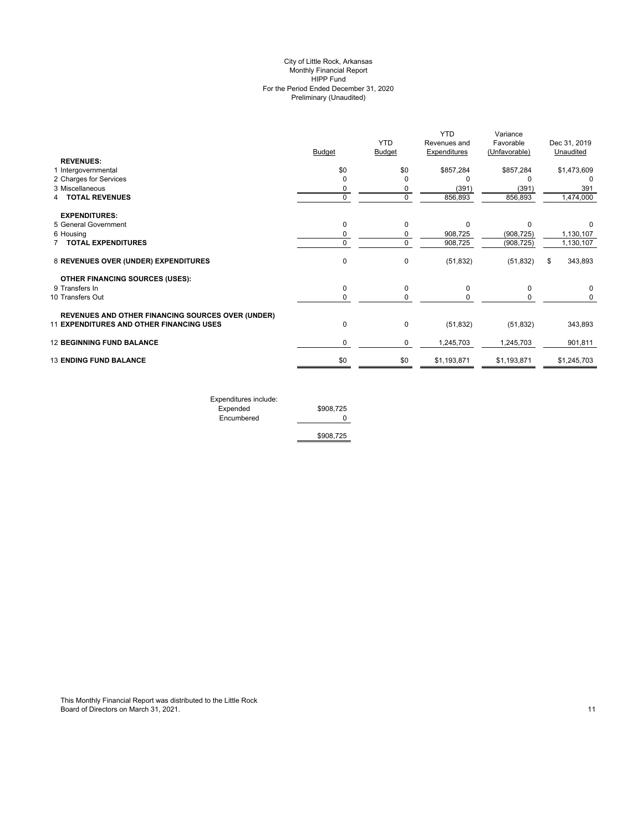# Preliminary (Unaudited) City of Little Rock, Arkansas Monthly Financial Report HIPP Fund For the Period Ended December 31, 2020

|                                                          | <b>Budget</b> | <b>YTD</b><br>Budget | <b>YTD</b><br>Revenues and<br>Expenditures | Variance<br>Favorable<br>(Unfavorable) | Dec 31, 2019<br>Unaudited |
|----------------------------------------------------------|---------------|----------------------|--------------------------------------------|----------------------------------------|---------------------------|
| <b>REVENUES:</b>                                         |               |                      |                                            |                                        |                           |
| 1 Intergovernmental                                      | \$0           | \$0                  | \$857,284                                  | \$857,284                              | \$1,473,609               |
| 2 Charges for Services                                   | 0             | $\Omega$             | O                                          |                                        | O                         |
| 3 Miscellaneous                                          | 0             | 0                    | (391)                                      | (391)                                  | 391                       |
| <b>TOTAL REVENUES</b>                                    | 0             | $\Omega$             | 856,893                                    | 856,893                                | 1,474,000                 |
| <b>EXPENDITURES:</b>                                     |               |                      |                                            |                                        |                           |
| 5 General Government                                     | $\mathbf 0$   | $\Omega$             | $\Omega$                                   | $\Omega$                               |                           |
| 6 Housing                                                | 0             | 0                    | 908,725                                    | (908, 725)                             | 1,130,107                 |
| 7 TOTAL EXPENDITURES                                     | 0             | $\Omega$             | 908,725                                    | (908, 725)                             | 1,130,107                 |
| 8 REVENUES OVER (UNDER) EXPENDITURES                     | $\mathbf 0$   | 0                    | (51, 832)                                  | (51, 832)                              | 343,893<br>\$             |
| <b>OTHER FINANCING SOURCES (USES):</b>                   |               |                      |                                            |                                        |                           |
| 9 Transfers In                                           | $\mathbf 0$   | 0                    | 0                                          | 0                                      | 0                         |
| 10 Transfers Out                                         | 0             | 0                    | 0                                          | 0                                      | 0                         |
| <b>REVENUES AND OTHER FINANCING SOURCES OVER (UNDER)</b> |               |                      |                                            |                                        |                           |
| 11 EXPENDITURES AND OTHER FINANCING USES                 | $\mathbf 0$   | $\mathbf 0$          | (51, 832)                                  | (51, 832)                              | 343,893                   |
| <b>12 BEGINNING FUND BALANCE</b>                         | 0             | 0                    | 1,245,703                                  | 1,245,703                              | 901,811                   |
| <b>13 ENDING FUND BALANCE</b>                            | \$0           | \$0                  | \$1,193,871                                | \$1,193,871                            | \$1,245,703               |
|                                                          |               |                      |                                            |                                        |                           |

Expenditures include: Expended  $$908,725$  Encumbered 0 \$908,725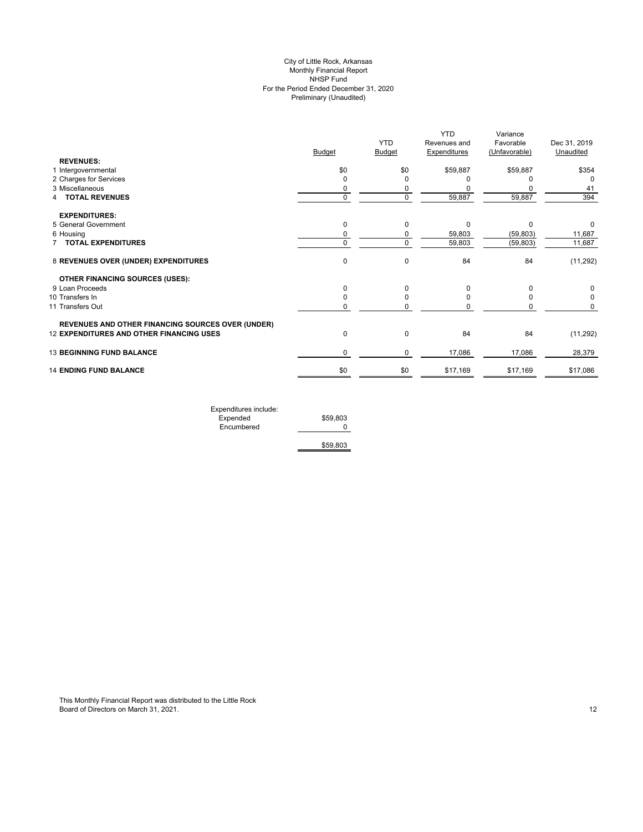# Preliminary (Unaudited) City of Little Rock, Arkansas Monthly Financial Report NHSP Fund For the Period Ended December 31, 2020

| <b>YTD</b><br>Favorable<br>Revenues and<br><b>Budget</b><br><b>Budget</b><br><b>Expenditures</b><br>(Unfavorable)<br><b>REVENUES:</b><br>\$0<br>1 Intergovernmental<br>\$0<br>\$59,887<br>\$59,887<br>2 Charges for Services<br>0<br>3 Miscellaneous<br>0<br>$\mathbf 0$<br>59,887<br>4 TOTAL REVENUES<br>$\Omega$<br>59,887<br><b>EXPENDITURES:</b><br>5 General Government<br>0<br>$\Omega$<br>0<br>$\Omega$<br>59,803<br>6 Housing<br>(59, 803)<br>0<br>0<br>$\mathbf 0$<br><b>7 TOTAL EXPENDITURES</b><br>$\mathbf 0$<br>59,803<br>(59, 803)<br>$\mathbf 0$<br>84<br>8 REVENUES OVER (UNDER) EXPENDITURES<br>$\Omega$<br>84<br><b>OTHER FINANCING SOURCES (USES):</b><br>9 Loan Proceeds<br>$\Omega$<br>$\Omega$<br>0<br>10 Transfers In<br>0<br>O<br>11 Transfers Out<br>0<br><b>REVENUES AND OTHER FINANCING SOURCES OVER (UNDER)</b> | Dec 31, 2019 |
|---------------------------------------------------------------------------------------------------------------------------------------------------------------------------------------------------------------------------------------------------------------------------------------------------------------------------------------------------------------------------------------------------------------------------------------------------------------------------------------------------------------------------------------------------------------------------------------------------------------------------------------------------------------------------------------------------------------------------------------------------------------------------------------------------------------------------------------------|--------------|
|                                                                                                                                                                                                                                                                                                                                                                                                                                                                                                                                                                                                                                                                                                                                                                                                                                             | Unaudited    |
|                                                                                                                                                                                                                                                                                                                                                                                                                                                                                                                                                                                                                                                                                                                                                                                                                                             |              |
|                                                                                                                                                                                                                                                                                                                                                                                                                                                                                                                                                                                                                                                                                                                                                                                                                                             | \$354        |
|                                                                                                                                                                                                                                                                                                                                                                                                                                                                                                                                                                                                                                                                                                                                                                                                                                             | $\Omega$     |
|                                                                                                                                                                                                                                                                                                                                                                                                                                                                                                                                                                                                                                                                                                                                                                                                                                             | 41           |
|                                                                                                                                                                                                                                                                                                                                                                                                                                                                                                                                                                                                                                                                                                                                                                                                                                             | 394          |
|                                                                                                                                                                                                                                                                                                                                                                                                                                                                                                                                                                                                                                                                                                                                                                                                                                             |              |
|                                                                                                                                                                                                                                                                                                                                                                                                                                                                                                                                                                                                                                                                                                                                                                                                                                             | 0            |
|                                                                                                                                                                                                                                                                                                                                                                                                                                                                                                                                                                                                                                                                                                                                                                                                                                             | 11,687       |
|                                                                                                                                                                                                                                                                                                                                                                                                                                                                                                                                                                                                                                                                                                                                                                                                                                             | 11,687       |
|                                                                                                                                                                                                                                                                                                                                                                                                                                                                                                                                                                                                                                                                                                                                                                                                                                             | (11, 292)    |
|                                                                                                                                                                                                                                                                                                                                                                                                                                                                                                                                                                                                                                                                                                                                                                                                                                             |              |
|                                                                                                                                                                                                                                                                                                                                                                                                                                                                                                                                                                                                                                                                                                                                                                                                                                             | 0            |
|                                                                                                                                                                                                                                                                                                                                                                                                                                                                                                                                                                                                                                                                                                                                                                                                                                             | 0            |
|                                                                                                                                                                                                                                                                                                                                                                                                                                                                                                                                                                                                                                                                                                                                                                                                                                             | 0            |
|                                                                                                                                                                                                                                                                                                                                                                                                                                                                                                                                                                                                                                                                                                                                                                                                                                             |              |
| <b>12 EXPENDITURES AND OTHER FINANCING USES</b><br>0<br>$\Omega$<br>84<br>84                                                                                                                                                                                                                                                                                                                                                                                                                                                                                                                                                                                                                                                                                                                                                                | (11, 292)    |
| <b>13 BEGINNING FUND BALANCE</b><br>17,086<br>0<br>$\mathbf 0$<br>17,086                                                                                                                                                                                                                                                                                                                                                                                                                                                                                                                                                                                                                                                                                                                                                                    | 28,379       |
| \$0<br><b>14 ENDING FUND BALANCE</b><br>\$0<br>\$17,169<br>\$17,169                                                                                                                                                                                                                                                                                                                                                                                                                                                                                                                                                                                                                                                                                                                                                                         | \$17,086     |

| Expenditures include: |          |
|-----------------------|----------|
| Expended              | \$59,803 |
| Encumbered            |          |
|                       |          |
|                       | \$59,803 |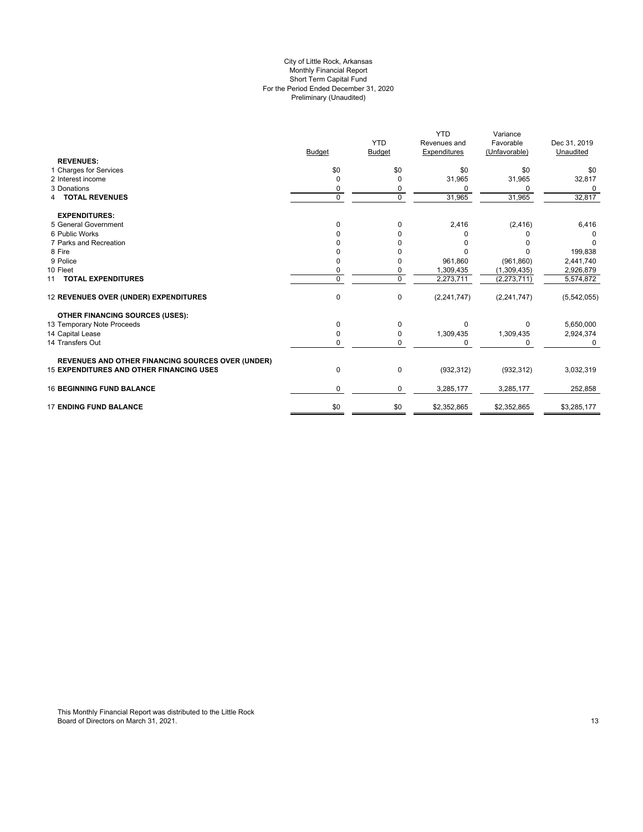#### For the Period Ended December 31, 2020 Preliminary (Unaudited) City of Little Rock, Arkansas Monthly Financial Report Short Term Capital Fund

|                                                          |               | <b>YTD</b>    | <b>YTD</b><br>Revenues and | Variance<br>Favorable | Dec 31, 2019 |
|----------------------------------------------------------|---------------|---------------|----------------------------|-----------------------|--------------|
|                                                          | <b>Budget</b> | <b>Budget</b> | <b>Expenditures</b>        | (Unfavorable)         | Unaudited    |
| <b>REVENUES:</b>                                         |               |               |                            |                       |              |
| 1 Charges for Services                                   | \$0           | \$0           | \$0                        | \$0                   | \$0          |
| 2 Interest income                                        | $\Omega$      | 0             | 31,965                     | 31,965                | 32,817       |
| 3 Donations                                              |               | 0             | <sup>0</sup>               | 0                     | 0            |
| <b>4 TOTAL REVENUES</b>                                  | 0             | $\mathbf 0$   | 31,965                     | 31,965                | 32,817       |
| <b>EXPENDITURES:</b>                                     |               |               |                            |                       |              |
| 5 General Government                                     | $\Omega$      | $\Omega$      | 2,416                      | (2, 416)              | 6,416        |
| 6 Public Works                                           |               | <sup>0</sup>  | <sup>0</sup>               |                       |              |
| 7 Parks and Recreation                                   |               |               | 0                          |                       | O            |
| 8 Fire                                                   |               |               | $\Omega$                   |                       | 199,838      |
| 9 Police                                                 |               | 0             | 961,860                    | (961, 860)            | 2,441,740    |
| 10 Fleet                                                 |               | 0             | 1,309,435                  | (1,309,435)           | 2,926,879    |
| 11 TOTAL EXPENDITURES                                    | $\Omega$      | $\Omega$      | 2,273,711                  | (2, 273, 711)         | 5,574,872    |
| 12 REVENUES OVER (UNDER) EXPENDITURES                    | 0             | $\mathbf 0$   | (2,241,747)                | (2, 241, 747)         | (5,542,055)  |
| <b>OTHER FINANCING SOURCES (USES):</b>                   |               |               |                            |                       |              |
| 13 Temporary Note Proceeds                               | 0             | $\Omega$      | $\Omega$                   | 0                     | 5,650,000    |
| 14 Capital Lease                                         | 0             | 0             | 1,309,435                  | 1,309,435             | 2,924,374    |
| 14 Transfers Out                                         | 0             | 0             | $\Omega$                   | 0                     | $\Omega$     |
| <b>REVENUES AND OTHER FINANCING SOURCES OVER (UNDER)</b> |               |               |                            |                       |              |
| <b>15 EXPENDITURES AND OTHER FINANCING USES</b>          | 0             | 0             | (932, 312)                 | (932, 312)            | 3,032,319    |
| <b>16 BEGINNING FUND BALANCE</b>                         | 0             | 0             | 3,285,177                  | 3,285,177             | 252,858      |
| <b>17 ENDING FUND BALANCE</b>                            | \$0           | \$0           | \$2,352,865                | \$2,352,865           | \$3,285,177  |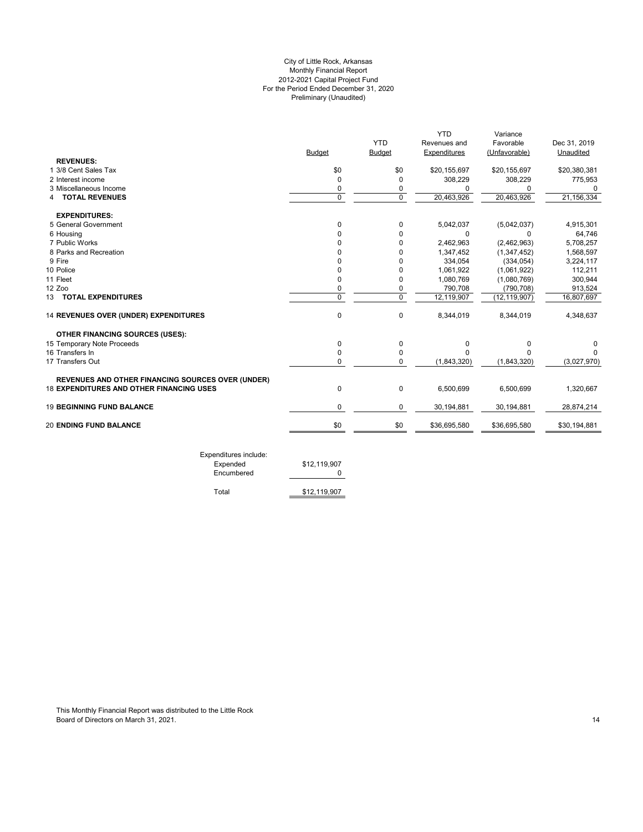# For the Period Ended December 31, 2020 Preliminary (Unaudited) City of Little Rock, Arkansas Monthly Financial Report 2012-2021 Capital Project Fund

|                                                          |               |               | <b>YTD</b>   | Variance       |              |
|----------------------------------------------------------|---------------|---------------|--------------|----------------|--------------|
|                                                          |               | <b>YTD</b>    | Revenues and | Favorable      | Dec 31, 2019 |
|                                                          | <b>Budget</b> | <b>Budget</b> | Expenditures | (Unfavorable)  | Unaudited    |
| <b>REVENUES:</b>                                         |               |               |              |                |              |
| 1 3/8 Cent Sales Tax                                     | \$0           | \$0           | \$20,155,697 | \$20,155,697   | \$20,380,381 |
| 2 Interest income                                        | $\Omega$      | $\Omega$      | 308,229      | 308,229        | 775,953      |
| 3 Miscellaneous Income                                   | 0             | 0             | O            | 0              | 0            |
| 4 TOTAL REVENUES                                         | $\mathbf 0$   | $\Omega$      | 20,463,926   | 20,463,926     | 21, 156, 334 |
| <b>EXPENDITURES:</b>                                     |               |               |              |                |              |
| 5 General Government                                     | 0             | 0             | 5,042,037    | (5,042,037)    | 4,915,301    |
| 6 Housing                                                | 0             | $\Omega$      | $\Omega$     | 0              | 64,746       |
| 7 Public Works                                           |               | 0             | 2,462,963    | (2,462,963)    | 5,708,257    |
| 8 Parks and Recreation                                   |               | 0             | 1,347,452    | (1,347,452)    | 1,568,597    |
| 9 Fire                                                   | n             | $\Omega$      | 334,054      | (334, 054)     | 3,224,117    |
| 10 Police                                                | ŋ             | $\Omega$      | 1,061,922    | (1,061,922)    | 112,211      |
| 11 Fleet                                                 | 0             | 0             | 1,080,769    | (1,080,769)    | 300,944      |
| 12 Zoo                                                   | 0             | 0             | 790,708      | (790, 708)     | 913,524      |
| 13 TOTAL EXPENDITURES                                    | $\Omega$      | $\Omega$      | 12,119,907   | (12, 119, 907) | 16,807,697   |
| 14 REVENUES OVER (UNDER) EXPENDITURES                    | $\mathbf 0$   | $\Omega$      | 8,344,019    | 8,344,019      | 4,348,637    |
| <b>OTHER FINANCING SOURCES (USES):</b>                   |               |               |              |                |              |
| 15 Temporary Note Proceeds                               | $\mathbf 0$   | 0             | 0            | 0              | 0            |
| 16 Transfers In                                          | 0             | 0             | O            | $\Omega$       | U            |
| 17 Transfers Out                                         | $\Omega$      | $\Omega$      | (1,843,320)  | (1,843,320)    | (3,027,970)  |
| <b>REVENUES AND OTHER FINANCING SOURCES OVER (UNDER)</b> |               |               |              |                |              |
| 18 EXPENDITURES AND OTHER FINANCING USES                 | $\mathbf 0$   | 0             | 6,500,699    | 6,500,699      | 1,320,667    |
| <b>19 BEGINNING FUND BALANCE</b>                         | 0             | 0             | 30,194,881   | 30,194,881     | 28,874,214   |
| <b>20 ENDING FUND BALANCE</b>                            | \$0           | \$0           | \$36,695,580 | \$36,695,580   | \$30,194,881 |

Expenditures include: Encumbered 0

Total \$12,119,907

\$12,119,907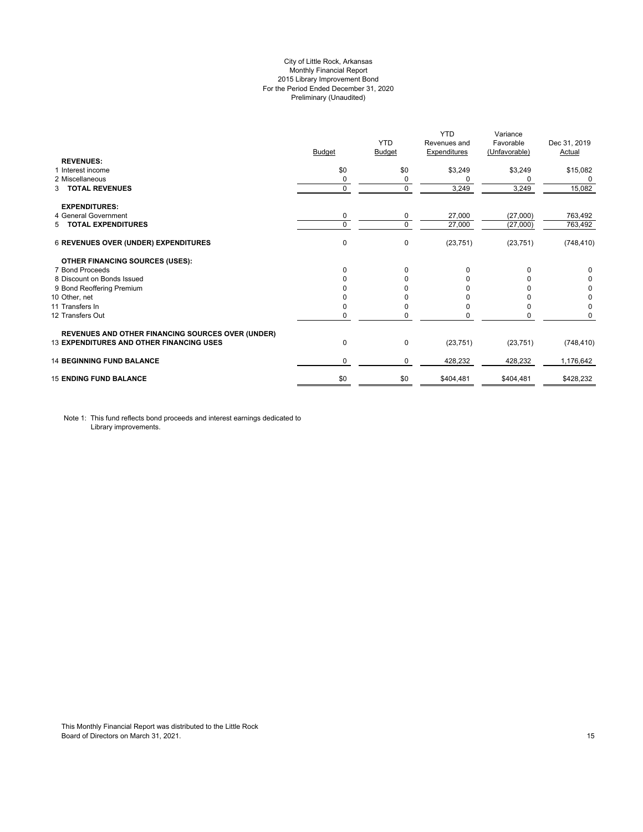# City of Little Rock, Arkansas Monthly Financial Report 2015 Library Improvement Bond For the Period Ended December 31, 2020 Preliminary (Unaudited)

|                                                          | <b>Budget</b> | <b>YTD</b><br><b>Budget</b> | <b>YTD</b><br>Revenues and<br><b>Expenditures</b> | Variance<br>Favorable<br>(Unfavorable) | Dec 31, 2019<br>Actual |
|----------------------------------------------------------|---------------|-----------------------------|---------------------------------------------------|----------------------------------------|------------------------|
| <b>REVENUES:</b><br>1 Interest income                    | \$0           | \$0                         | \$3,249                                           | \$3,249                                | \$15,082               |
| 2 Miscellaneous                                          | 0             | 0                           | 0                                                 | <sup>0</sup>                           | 0                      |
| <b>TOTAL REVENUES</b><br>3                               | 0             | $\Omega$                    | 3,249                                             | 3,249                                  | 15,082                 |
| <b>EXPENDITURES:</b>                                     |               |                             |                                                   |                                        |                        |
| 4 General Government                                     | 0             | 0                           | 27,000                                            | (27,000)                               | 763,492                |
| <b>TOTAL EXPENDITURES</b><br>5.                          | 0             | 0                           | 27,000                                            | (27,000)                               | 763,492                |
| 6 REVENUES OVER (UNDER) EXPENDITURES                     | 0             | 0                           | (23, 751)                                         | (23, 751)                              | (748, 410)             |
| <b>OTHER FINANCING SOURCES (USES):</b>                   |               |                             |                                                   |                                        |                        |
| 7 Bond Proceeds                                          | $\Omega$      | $\Omega$                    | $\Omega$                                          |                                        | 0                      |
| 8 Discount on Bonds Issued                               | O             | <sup>0</sup>                |                                                   |                                        | 0                      |
| 9 Bond Reoffering Premium                                |               |                             |                                                   |                                        | 0                      |
| 10 Other, net                                            |               |                             |                                                   |                                        | 0                      |
| 11 Transfers In                                          | $\Omega$      | <sup>0</sup>                |                                                   |                                        | 0                      |
| 12 Transfers Out                                         | 0             | 0                           |                                                   |                                        | 0                      |
| <b>REVENUES AND OTHER FINANCING SOURCES OVER (UNDER)</b> |               |                             |                                                   |                                        |                        |
| <b>13 EXPENDITURES AND OTHER FINANCING USES</b>          | 0             | 0                           | (23, 751)                                         | (23, 751)                              | (748, 410)             |
| <b>14 BEGINNING FUND BALANCE</b>                         | 0             | 0                           | 428,232                                           | 428,232                                | 1,176,642              |
| <b>15 ENDING FUND BALANCE</b>                            | \$0           | \$0                         | \$404,481                                         | \$404,481                              | \$428,232              |

Note 1: This fund reflects bond proceeds and interest earnings dedicated to Library improvements.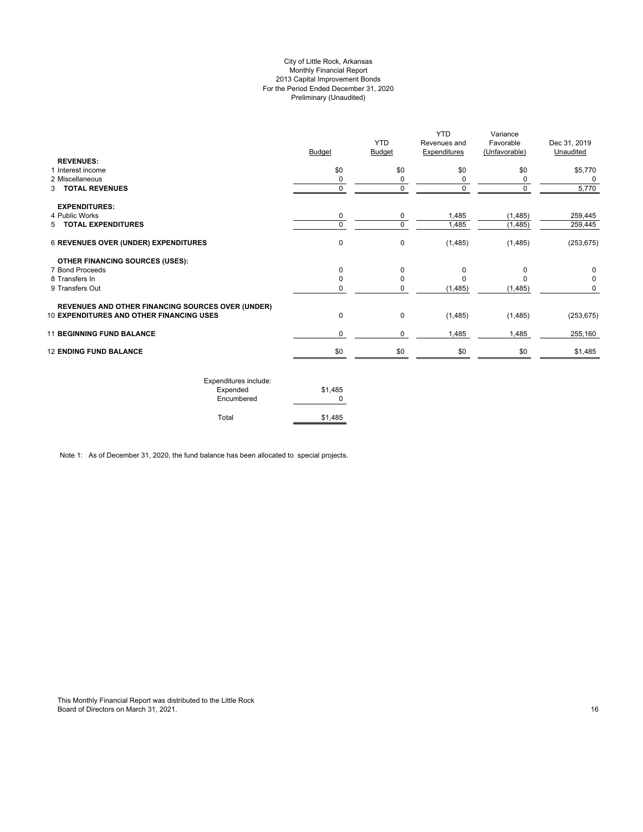# City of Little Rock, Arkansas Monthly Financial Report 2013 Capital Improvement Bonds For the Period Ended December 31, 2020 Preliminary (Unaudited)

|                                                          | <b>Budget</b> | <b>YTD</b><br><b>Budget</b> | <b>YTD</b><br>Revenues and<br><b>Expenditures</b> | Variance<br>Favorable<br>(Unfavorable) | Dec 31, 2019<br>Unaudited |
|----------------------------------------------------------|---------------|-----------------------------|---------------------------------------------------|----------------------------------------|---------------------------|
| <b>REVENUES:</b><br>1 Interest income                    | \$0           | \$0                         | \$0                                               | \$0                                    | \$5,770                   |
| 2 Miscellaneous                                          | 0             | 0                           | 0                                                 | 0                                      | 0                         |
| 3 TOTAL REVENUES                                         | 0             | 0                           | $\mathbf 0$                                       | 0                                      | 5,770                     |
| <b>EXPENDITURES:</b>                                     |               |                             |                                                   |                                        |                           |
| 4 Public Works                                           | 0             | 0                           | 1,485                                             | (1, 485)                               | 259,445                   |
| 5 TOTAL EXPENDITURES                                     | $\Omega$      | 0                           | 1,485                                             | (1, 485)                               | 259,445                   |
| <b>6 REVENUES OVER (UNDER) EXPENDITURES</b>              | 0             | 0                           | (1,485)                                           | (1,485)                                | (253, 675)                |
| <b>OTHER FINANCING SOURCES (USES):</b>                   |               |                             |                                                   |                                        |                           |
| 7 Bond Proceeds                                          | $\Omega$      | 0                           | 0                                                 | $\Omega$                               | 0                         |
| 8 Transfers In                                           |               | 0                           |                                                   |                                        | 0                         |
| 9 Transfers Out                                          |               | 0                           | (1,485)                                           | (1, 485)                               | 0                         |
| <b>REVENUES AND OTHER FINANCING SOURCES OVER (UNDER)</b> |               |                             |                                                   |                                        |                           |
| 10 EXPENDITURES AND OTHER FINANCING USES                 | 0             | 0                           | (1,485)                                           | (1,485)                                | (253, 675)                |
| <b>11 BEGINNING FUND BALANCE</b>                         | 0             | 0                           | 1,485                                             | 1,485                                  | 255,160                   |
| <b>12 ENDING FUND BALANCE</b>                            | \$0           | \$0                         | \$0                                               | \$0                                    | \$1,485                   |
|                                                          |               |                             |                                                   |                                        |                           |

| Expenditures include:<br>Expended<br>Encumbered | \$1.485 |
|-------------------------------------------------|---------|
| Total                                           | \$1,485 |

Note 1: As of December 31, 2020, the fund balance has been allocated to special projects.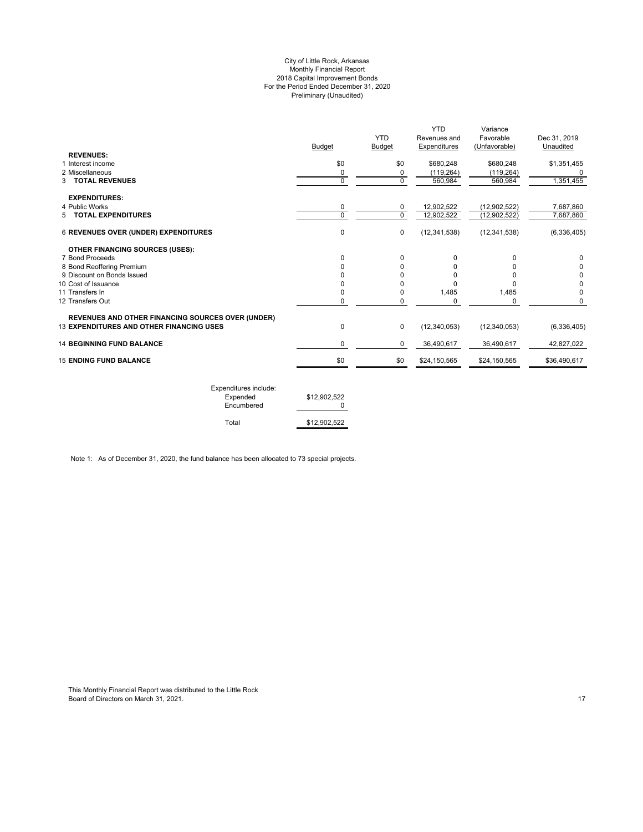#### City of Little Rock, Arkansas Monthly Financial Report 2018 Capital Improvement Bonds For the Period Ended December 31, 2020 Preliminary (Unaudited)

|                                                          | <b>Budget</b> | <b>YTD</b><br><b>Budget</b> | <b>YTD</b><br>Revenues and<br>Expenditures | Variance<br>Favorable<br>(Unfavorable) | Dec 31, 2019<br>Unaudited |
|----------------------------------------------------------|---------------|-----------------------------|--------------------------------------------|----------------------------------------|---------------------------|
| <b>REVENUES:</b>                                         |               |                             |                                            |                                        |                           |
| 1 Interest income                                        | \$0           | \$0                         | \$680,248                                  | \$680,248                              | \$1,351,455               |
| 2 Miscellaneous                                          | 0             | 0                           | (119, 264)                                 | (119, 264)                             |                           |
| <b>3 TOTAL REVENUES</b>                                  | $\Omega$      | $\Omega$                    | 560,984                                    | 560,984                                | 1,351,455                 |
| <b>EXPENDITURES:</b>                                     |               |                             |                                            |                                        |                           |
| 4 Public Works                                           | 0             | 0                           | 12,902,522                                 | (12, 902, 522)                         | 7,687,860                 |
| 5 TOTAL EXPENDITURES                                     | $\Omega$      | $\Omega$                    | 12,902,522                                 | (12, 902, 522)                         | 7,687,860                 |
| <b>6 REVENUES OVER (UNDER) EXPENDITURES</b>              | 0             | 0                           | (12, 341, 538)                             | (12, 341, 538)                         | (6,336,405)               |
| <b>OTHER FINANCING SOURCES (USES):</b>                   |               |                             |                                            |                                        |                           |
| 7 Bond Proceeds                                          | $\Omega$      | $\Omega$                    | 0                                          | <sup>0</sup>                           | 0                         |
| 8 Bond Reoffering Premium                                |               | $\Omega$                    |                                            | 0                                      | 0                         |
| 9 Discount on Bonds Issued                               |               | <sup>0</sup>                | U                                          | $\Omega$                               | 0                         |
| 10 Cost of Issuance                                      |               | O                           | O                                          | $\Omega$                               | 0                         |
| 11 Transfers In                                          | <sup>0</sup>  | 0                           | 1,485                                      | 1,485                                  | 0                         |
| 12 Transfers Out                                         |               | 0                           | 0                                          | 0                                      | 0                         |
| <b>REVENUES AND OTHER FINANCING SOURCES OVER (UNDER)</b> |               |                             |                                            |                                        |                           |
| 13 EXPENDITURES AND OTHER FINANCING USES                 | 0             | $\mathbf 0$                 | (12, 340, 053)                             | (12, 340, 053)                         | (6,336,405)               |
| <b>14 BEGINNING FUND BALANCE</b>                         | 0             | 0                           | 36,490,617                                 | 36,490,617                             | 42,827,022                |
| <b>15 ENDING FUND BALANCE</b>                            | \$0           | \$0                         | \$24,150,565                               | \$24,150,565                           | \$36,490,617              |
|                                                          |               |                             |                                            |                                        |                           |

| Expenditures include:<br>Expended<br>Encumbered | \$12,902,522 |
|-------------------------------------------------|--------------|
| Total                                           | \$12,902,522 |

Note 1: As of December 31, 2020, the fund balance has been allocated to 73 special projects.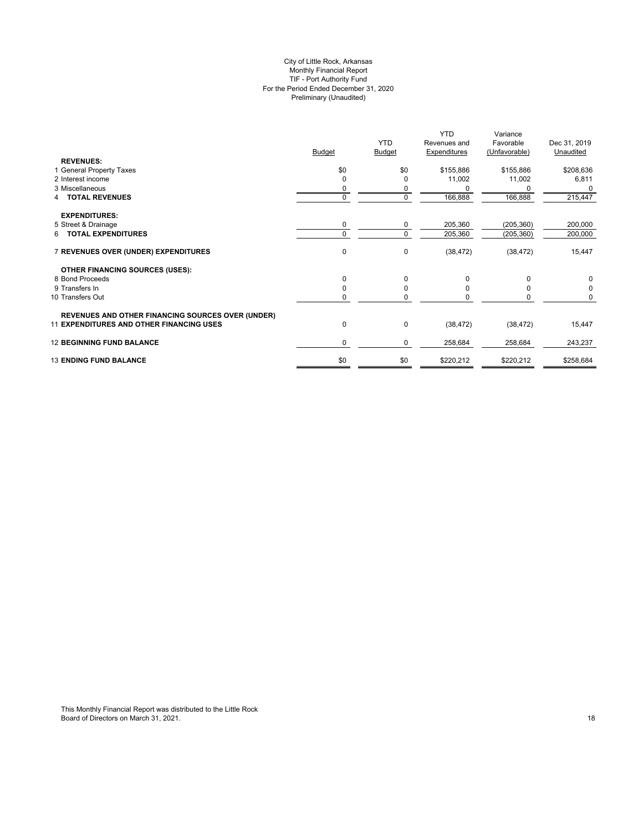# City of Little Rock, Arkansas Monthly Financial Report TIF - Port Authority Fund For the Period Ended December 31, 2020 Preliminary (Unaudited)

|                                                          |               | <b>YTD</b>    | <b>YTD</b><br>Revenues and | Variance<br>Favorable | Dec 31, 2019 |
|----------------------------------------------------------|---------------|---------------|----------------------------|-----------------------|--------------|
|                                                          | <b>Budget</b> | <b>Budget</b> | <b>Expenditures</b>        | (Unfavorable)         | Unaudited    |
| <b>REVENUES:</b>                                         |               |               |                            |                       |              |
| 1 General Property Taxes                                 | \$0           | \$0           | \$155,886                  | \$155,886             | \$208,636    |
| 2 Interest income                                        | 0             |               | 11,002                     | 11,002                | 6,811        |
| 3 Miscellaneous                                          | 0             | 0             |                            | 0                     | 0            |
| 4 TOTAL REVENUES                                         | $\mathbf 0$   | $\Omega$      | 166,888                    | 166,888               | 215,447      |
| <b>EXPENDITURES:</b>                                     |               |               |                            |                       |              |
| 5 Street & Drainage                                      | 0             | 0             | 205,360                    | (205, 360)            | 200,000      |
| 6 TOTAL EXPENDITURES                                     | $\Omega$      | $\Omega$      | 205,360                    | (205, 360)            | 200,000      |
| 7 REVENUES OVER (UNDER) EXPENDITURES                     | $\mathbf 0$   | $\mathbf 0$   | (38, 472)                  | (38, 472)             | 15,447       |
| <b>OTHER FINANCING SOURCES (USES):</b>                   |               |               |                            |                       |              |
| 8 Bond Proceeds                                          | 0             | $\Omega$      | 0                          | $\Omega$              | 0            |
| 9 Transfers In                                           | 0             | O             |                            |                       | $\Omega$     |
| 10 Transfers Out                                         | 0             | 0             | n                          | 0                     | 0            |
| <b>REVENUES AND OTHER FINANCING SOURCES OVER (UNDER)</b> |               |               |                            |                       |              |
| <b>11 EXPENDITURES AND OTHER FINANCING USES</b>          | $\pmb{0}$     | $\mathbf 0$   | (38, 472)                  | (38, 472)             | 15,447       |
| <b>12 BEGINNING FUND BALANCE</b>                         | 0             | 0             | 258,684                    | 258,684               | 243,237      |
| <b>13 ENDING FUND BALANCE</b>                            | \$0           | \$0           | \$220,212                  | \$220,212             | \$258,684    |
|                                                          |               |               |                            |                       |              |

This Monthly Financial Report was distributed to the Little Rock Board of Directors on March 31, 2021. 18 Australian 1998 and the United States of Directors on March 31, 2021.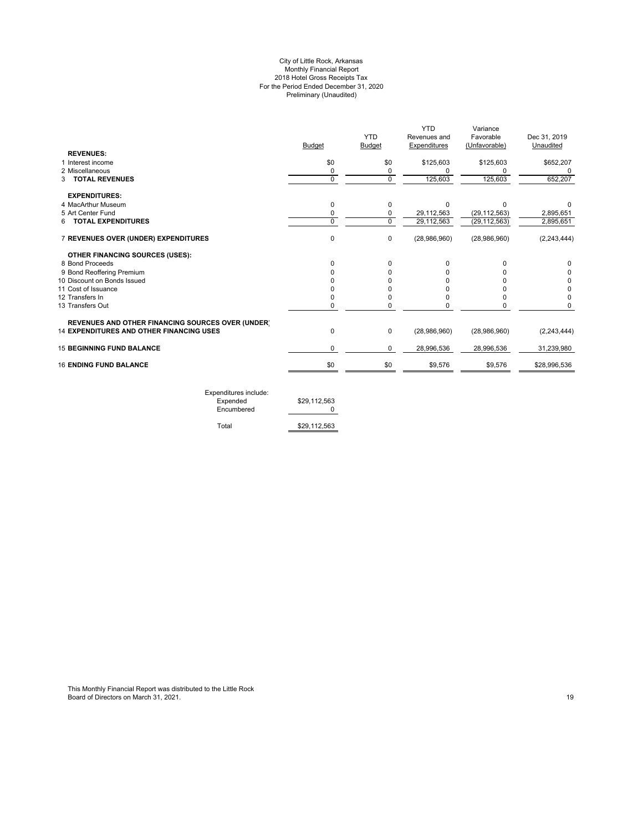#### City of Little Rock, Arkansas Monthly Financial Report 2018 Hotel Gross Receipts Tax For the Period Ended December 31, 2020 Preliminary (Unaudited)

|               |               | YTD          | Variance       |               |
|---------------|---------------|--------------|----------------|---------------|
|               | <b>YTD</b>    | Revenues and | Favorable      | Dec 31, 2019  |
| <b>Budget</b> | <b>Budget</b> | Expenditures | (Unfavorable)  | Unaudited     |
|               |               |              |                |               |
| \$0           | \$0           | \$125,603    | \$125,603      | \$652,207     |
| 0             | 0             | $\Omega$     |                |               |
| $\mathbf 0$   | $\mathbf 0$   | 125,603      | 125,603        | 652,207       |
|               |               |              |                |               |
| $\Omega$      | $\Omega$      | $\Omega$     | n              |               |
| 0             | 0             | 29,112,563   | (29, 112, 563) | 2,895,651     |
| $\Omega$      | $\Omega$      | 29,112,563   | (29, 112, 563) | 2,895,651     |
| 0             | 0             | (28,986,960) | (28,986,960)   | (2, 243, 444) |
|               |               |              |                |               |
| $\Omega$      | $\Omega$      | 0            |                | 0             |
|               | 0             |              |                | 0             |
|               | 0             |              |                | 0             |
|               | 0             |              |                | 0             |
|               | 0             | O            |                | 0             |
| 0             | 0             | 0            | $\Omega$       | 0             |
|               |               |              |                |               |
| 0             | 0             | (28,986,960) | (28,986,960)   | (2, 243, 444) |
| 0             | 0             | 28,996,536   | 28,996,536     | 31,239,980    |
|               |               | \$9,576      | \$9,576        | \$28,996,536  |
|               |               | \$0<br>\$0   |                |               |

Expenditures include: Expended \$29,112,563 Encumbered 0

Total \$29,112,563

This Monthly Financial Report was distributed to the Little Rock Board of Directors on March 31, 2021. 19 Automatic and the control of the control of Directors on March 31, 2021.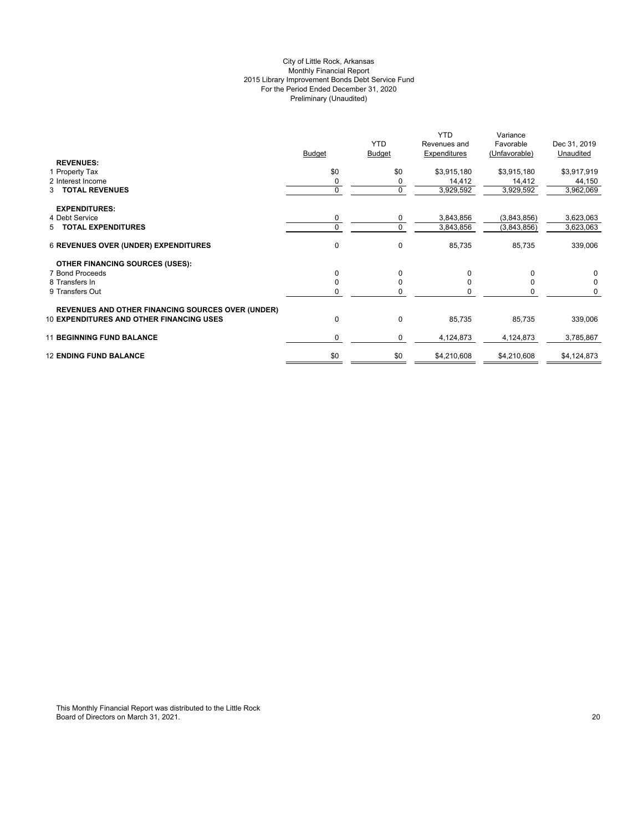# City of Little Rock, Arkansas Monthly Financial Report 2015 Library Improvement Bonds Debt Service Fund For the Period Ended December 31, 2020 Preliminary (Unaudited)

|                                                          |               | <b>YTD</b>    | <b>YTD</b><br>Revenues and | Variance<br>Favorable | Dec 31, 2019 |
|----------------------------------------------------------|---------------|---------------|----------------------------|-----------------------|--------------|
|                                                          | <b>Budget</b> | <b>Budget</b> | Expenditures               | (Unfavorable)         | Unaudited    |
| <b>REVENUES:</b>                                         |               |               |                            |                       |              |
| 1 Property Tax                                           | \$0           | \$0           | \$3,915,180                | \$3,915,180           | \$3,917,919  |
| 2 Interest Income                                        |               | 0             | 14,412                     | 14,412                | 44,150       |
| 3 TOTAL REVENUES                                         | $\Omega$      | $\mathbf 0$   | 3,929,592                  | 3,929,592             | 3,962,069    |
| <b>EXPENDITURES:</b>                                     |               |               |                            |                       |              |
| 4 Debt Service                                           | 0             | 0             | 3,843,856                  | (3,843,856)           | 3,623,063    |
| 5 TOTAL EXPENDITURES                                     |               | $\mathbf 0$   | 3,843,856                  | (3,843,856)           | 3,623,063    |
| <b>6 REVENUES OVER (UNDER) EXPENDITURES</b>              | 0             | 0             | 85,735                     | 85,735                | 339,006      |
| <b>OTHER FINANCING SOURCES (USES):</b>                   |               |               |                            |                       |              |
| 7 Bond Proceeds                                          | $\Omega$      | $\Omega$      | $\Omega$                   | $\Omega$              | $\Omega$     |
| 8 Transfers In                                           |               | 0             | 0                          | $\Omega$              | $\Omega$     |
| 9 Transfers Out                                          |               | ŋ             | O                          | 0                     | 0            |
| <b>REVENUES AND OTHER FINANCING SOURCES OVER (UNDER)</b> |               |               |                            |                       |              |
| <b>10 EXPENDITURES AND OTHER FINANCING USES</b>          | $\Omega$      | $\mathbf{0}$  | 85,735                     | 85,735                | 339,006      |
| <b>11 BEGINNING FUND BALANCE</b>                         | 0             | $\mathbf 0$   | 4,124,873                  | 4,124,873             | 3,785,867    |
| <b>12 ENDING FUND BALANCE</b>                            | \$0           | \$0           | \$4,210,608                | \$4,210,608           | \$4,124,873  |
|                                                          |               |               |                            |                       |              |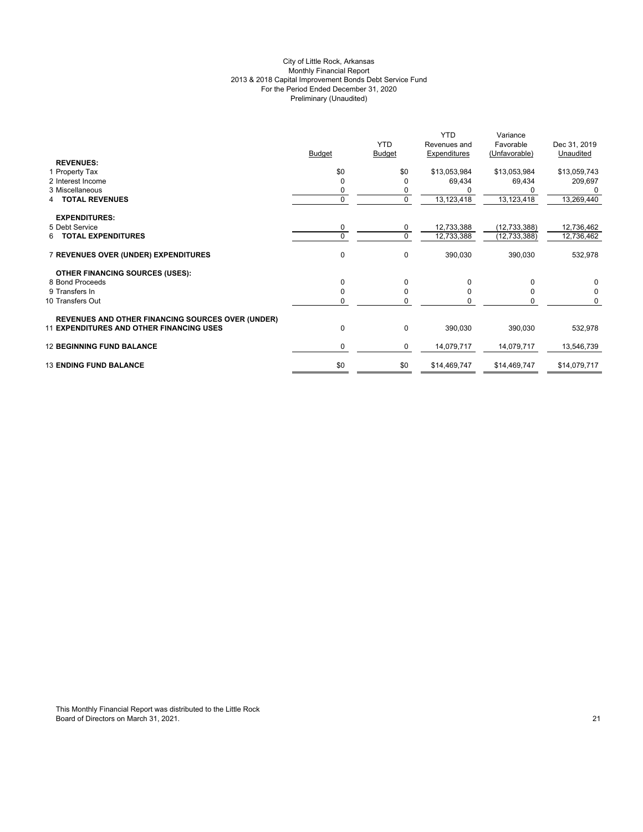# City of Little Rock, Arkansas Monthly Financial Report 2013 & 2018 Capital Improvement Bonds Debt Service Fund For the Period Ended December 31, 2020 Preliminary (Unaudited)

|                                                          |               | <b>YTD</b>    | <b>YTD</b><br>Revenues and | Variance<br>Favorable | Dec 31, 2019 |
|----------------------------------------------------------|---------------|---------------|----------------------------|-----------------------|--------------|
|                                                          | <b>Budget</b> | <b>Budget</b> | Expenditures               | (Unfavorable)         | Unaudited    |
| <b>REVENUES:</b>                                         |               |               |                            |                       |              |
| 1 Property Tax                                           | \$0           | \$0           | \$13,053,984               | \$13,053,984          | \$13,059,743 |
| 2 Interest Income                                        | $\Omega$      | $\Omega$      | 69,434                     | 69,434                | 209,697      |
| 3 Miscellaneous                                          | 0             | 0             |                            | 0                     | 0            |
| <b>TOTAL REVENUES</b>                                    | $\mathbf{0}$  | $\mathbf 0$   | 13,123,418                 | 13,123,418            | 13,269,440   |
| <b>EXPENDITURES:</b>                                     |               |               |                            |                       |              |
| 5 Debt Service                                           | $\mathbf 0$   | $\mathbf 0$   | 12,733,388                 | (12, 733, 388)        | 12,736,462   |
| <b>6 TOTAL EXPENDITURES</b>                              | $\Omega$      | $\mathbf 0$   | 12,733,388                 | (12, 733, 388)        | 12,736,462   |
| 7 REVENUES OVER (UNDER) EXPENDITURES                     | $\mathbf{0}$  | 0             | 390,030                    | 390,030               | 532,978      |
| <b>OTHER FINANCING SOURCES (USES):</b>                   |               |               |                            |                       |              |
| 8 Bond Proceeds                                          | $\Omega$      | $\mathbf 0$   | $\Omega$                   | $\Omega$              | 0            |
| 9 Transfers In                                           | $\Omega$      | $\mathbf 0$   | $\Omega$                   | $\Omega$              | $\mathbf 0$  |
| 10 Transfers Out                                         | 0             | 0             | <sup>0</sup>               | $\Omega$              | $\Omega$     |
| <b>REVENUES AND OTHER FINANCING SOURCES OVER (UNDER)</b> |               |               |                            |                       |              |
| <b>11 EXPENDITURES AND OTHER FINANCING USES</b>          | 0             | $\pmb{0}$     | 390,030                    | 390,030               | 532,978      |
| <b>12 BEGINNING FUND BALANCE</b>                         | $\mathbf 0$   | 0             | 14,079,717                 | 14,079,717            | 13,546,739   |
| <b>13 ENDING FUND BALANCE</b>                            | \$0           | \$0           | \$14,469,747               | \$14,469,747          | \$14,079,717 |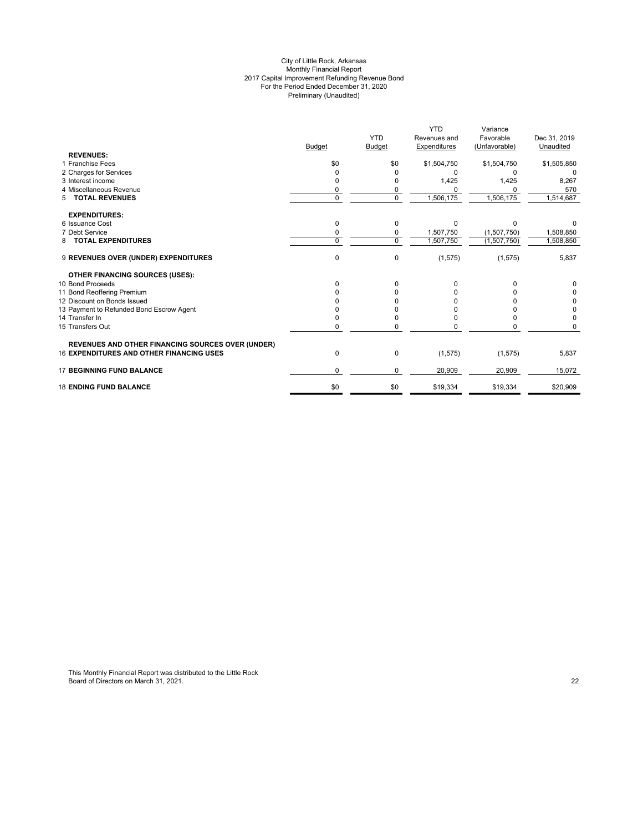#### City of Little Rock, Arkansas Monthly Financial Report 2017 Capital Improvement Refunding Revenue Bond For the Period Ended December 31, 2020 Preliminary (Unaudited)

|                                                          |               |                | <b>YTD</b>   | Variance      |              |
|----------------------------------------------------------|---------------|----------------|--------------|---------------|--------------|
|                                                          |               | <b>YTD</b>     | Revenues and | Favorable     | Dec 31, 2019 |
|                                                          | <b>Budget</b> | <b>Budget</b>  | Expenditures | (Unfavorable) | Unaudited    |
| <b>REVENUES:</b>                                         |               |                |              |               |              |
| 1 Franchise Fees                                         | \$0           | \$0            | \$1,504,750  | \$1,504,750   | \$1,505,850  |
| 2 Charges for Services                                   |               |                | $\Omega$     | O             |              |
| 3 Interest income                                        | 0             |                | 1,425        | 1,425         | 8,267        |
| 4 Miscellaneous Revenue                                  | 0             | 0              |              |               | 570          |
| <b>TOTAL REVENUES</b><br>5                               | $\Omega$      | $\overline{0}$ | 1,506,175    | 1,506,175     | 1,514,687    |
| <b>EXPENDITURES:</b>                                     |               |                |              |               |              |
| 6 Issuance Cost                                          | $\Omega$      | 0              | $\Omega$     | $\Omega$      |              |
| 7 Debt Service                                           | 0             | 0              | 1,507,750    | (1,507,750)   | 1,508,850    |
| <b>TOTAL EXPENDITURES</b><br>8                           | $\Omega$      | 0              | 1,507,750    | (1,507,750)   | 1,508,850    |
| 9 REVENUES OVER (UNDER) EXPENDITURES                     | $\mathbf 0$   | 0              | (1, 575)     | (1, 575)      | 5,837        |
| <b>OTHER FINANCING SOURCES (USES):</b>                   |               |                |              |               |              |
| 10 Bond Proceeds                                         | <sup>0</sup>  | 0              |              |               |              |
| 11 Bond Reoffering Premium                               |               |                |              |               | 0            |
| 12 Discount on Bonds Issued                              |               |                |              |               | 0            |
| 13 Payment to Refunded Bond Escrow Agent                 |               |                |              |               | 0            |
| 14 Transfer In                                           |               |                |              |               | $\Omega$     |
| 15 Transfers Out                                         | 0             | O              |              |               |              |
| <b>REVENUES AND OTHER FINANCING SOURCES OVER (UNDER)</b> |               |                |              |               |              |
| <b>16 EXPENDITURES AND OTHER FINANCING USES</b>          | 0             | 0              | (1, 575)     | (1, 575)      | 5,837        |
| <b>17 BEGINNING FUND BALANCE</b>                         | $\Omega$      | 0              | 20,909       | 20,909        | 15,072       |
| <b>18 ENDING FUND BALANCE</b>                            | \$0           | \$0            | \$19,334     | \$19,334      | \$20,909     |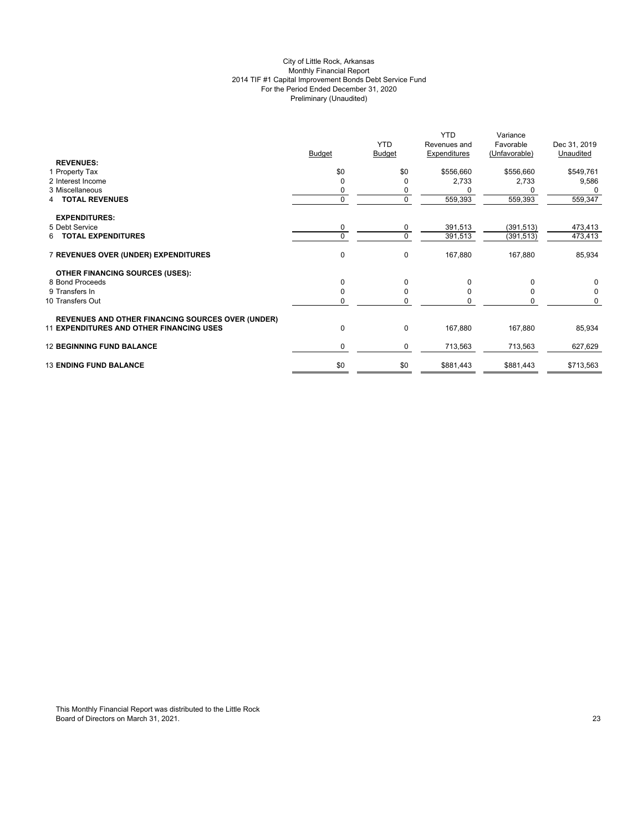# City of Little Rock, Arkansas Monthly Financial Report 2014 TIF #1 Capital Improvement Bonds Debt Service Fund For the Period Ended December 31, 2020 Preliminary (Unaudited)

|                                                          |               | <b>YTD</b>    | <b>YTD</b><br>Revenues and | Variance<br>Favorable | Dec 31, 2019 |
|----------------------------------------------------------|---------------|---------------|----------------------------|-----------------------|--------------|
|                                                          | <b>Budget</b> | <b>Budget</b> | Expenditures               | (Unfavorable)         | Unaudited    |
| <b>REVENUES:</b>                                         |               |               |                            |                       |              |
| 1 Property Tax                                           | \$0           | \$0           | \$556,660                  | \$556,660             | \$549,761    |
| 2 Interest Income                                        | 0             | 0             | 2,733                      | 2,733                 | 9,586        |
| 3 Miscellaneous                                          | 0             | 0             |                            |                       | 0            |
| <b>TOTAL REVENUES</b>                                    | $\mathbf 0$   | $\mathbf 0$   | 559,393                    | 559,393               | 559,347      |
| <b>EXPENDITURES:</b>                                     |               |               |                            |                       |              |
| 5 Debt Service                                           | $\mathbf 0$   | 0             | 391,513                    | (391, 513)            | 473,413      |
| <b>6 TOTAL EXPENDITURES</b>                              | $\Omega$      | $\mathbf 0$   | 391,513                    | (391, 513)            | 473,413      |
| 7 REVENUES OVER (UNDER) EXPENDITURES                     | $\mathbf 0$   | 0             | 167,880                    | 167,880               | 85,934       |
| <b>OTHER FINANCING SOURCES (USES):</b>                   |               |               |                            |                       |              |
| 8 Bond Proceeds                                          | $\Omega$      | 0             | 0                          | $\Omega$              | 0            |
| 9 Transfers In                                           | $\Omega$      | $\mathbf 0$   | $\Omega$                   | $\Omega$              | $\Omega$     |
| 10 Transfers Out                                         | 0             | 0             | U                          | 0                     | $\Omega$     |
| <b>REVENUES AND OTHER FINANCING SOURCES OVER (UNDER)</b> |               |               |                            |                       |              |
| <b>11 EXPENDITURES AND OTHER FINANCING USES</b>          | 0             | $\pmb{0}$     | 167,880                    | 167,880               | 85,934       |
| <b>12 BEGINNING FUND BALANCE</b>                         | $\mathbf 0$   | 0             | 713,563                    | 713,563               | 627,629      |
| <b>13 ENDING FUND BALANCE</b>                            | \$0           | \$0           | \$881,443                  | \$881,443             | \$713,563    |
|                                                          |               |               |                            |                       |              |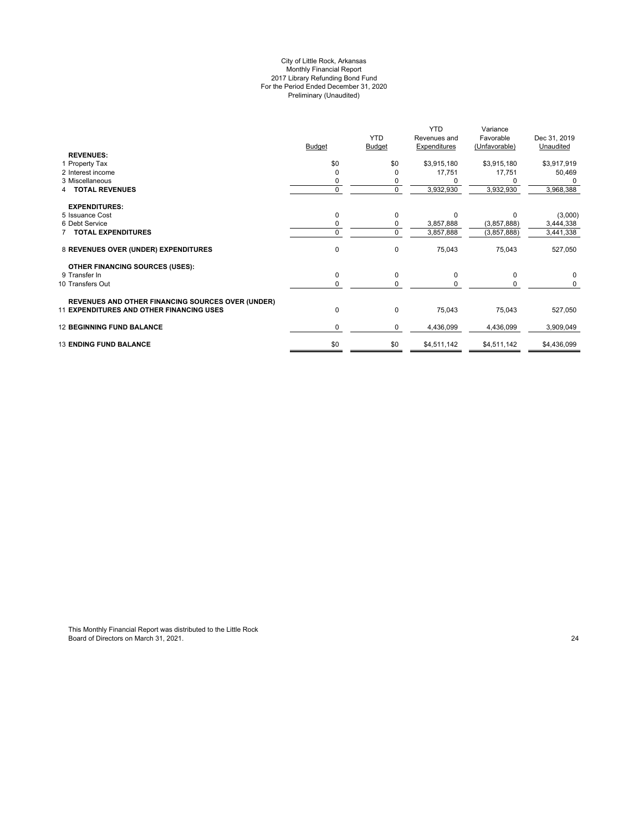#### City of Little Rock, Arkansas Monthly Financial Report 2017 Library Refunding Bond Fund For the Period Ended December 31, 2020 Preliminary (Unaudited)

|                                                          |               |               | <b>YTD</b>          | Variance      |              |
|----------------------------------------------------------|---------------|---------------|---------------------|---------------|--------------|
|                                                          |               | <b>YTD</b>    | Revenues and        | Favorable     | Dec 31, 2019 |
|                                                          | <b>Budget</b> | <b>Budget</b> | <b>Expenditures</b> | (Unfavorable) | Unaudited    |
| <b>REVENUES:</b>                                         |               |               |                     |               |              |
| 1 Property Tax                                           | \$0           | \$0           | \$3,915,180         | \$3,915,180   | \$3,917,919  |
| 2 Interest income                                        |               | 0             | 17,751              | 17,751        | 50,469       |
| 3 Miscellaneous                                          |               |               |                     |               |              |
| <b>TOTAL REVENUES</b>                                    | $\Omega$      | $\mathbf 0$   | 3,932,930           | 3,932,930     | 3,968,388    |
| <b>EXPENDITURES:</b>                                     |               |               |                     |               |              |
| 5 Issuance Cost                                          |               | 0             | $\Omega$            | $\Omega$      | (3,000)      |
| 6 Debt Service                                           |               | 0             | 3,857,888           | (3,857,888)   | 3,444,338    |
| <b>7 TOTAL EXPENDITURES</b>                              | $\Omega$      | $\mathbf 0$   | 3,857,888           | (3,857,888)   | 3,441,338    |
| 8 REVENUES OVER (UNDER) EXPENDITURES                     | $\mathbf 0$   | $\mathbf 0$   | 75,043              | 75,043        | 527,050      |
| <b>OTHER FINANCING SOURCES (USES):</b>                   |               |               |                     |               |              |
| 9 Transfer In                                            | $\mathbf 0$   | $\mathbf 0$   | $\Omega$            | 0             | $\Omega$     |
| 10 Transfers Out                                         |               | $\Omega$      |                     |               | $\Omega$     |
| <b>REVENUES AND OTHER FINANCING SOURCES OVER (UNDER)</b> |               |               |                     |               |              |
| <b>11 EXPENDITURES AND OTHER FINANCING USES</b>          | $\mathbf 0$   | $\mathbf 0$   | 75,043              | 75,043        | 527,050      |
| <b>12 BEGINNING FUND BALANCE</b>                         | 0             | 0             | 4,436,099           | 4,436,099     | 3,909,049    |
| <b>13 ENDING FUND BALANCE</b>                            | \$0           | \$0           | \$4,511,142         | \$4,511,142   | \$4,436,099  |
|                                                          |               |               |                     |               |              |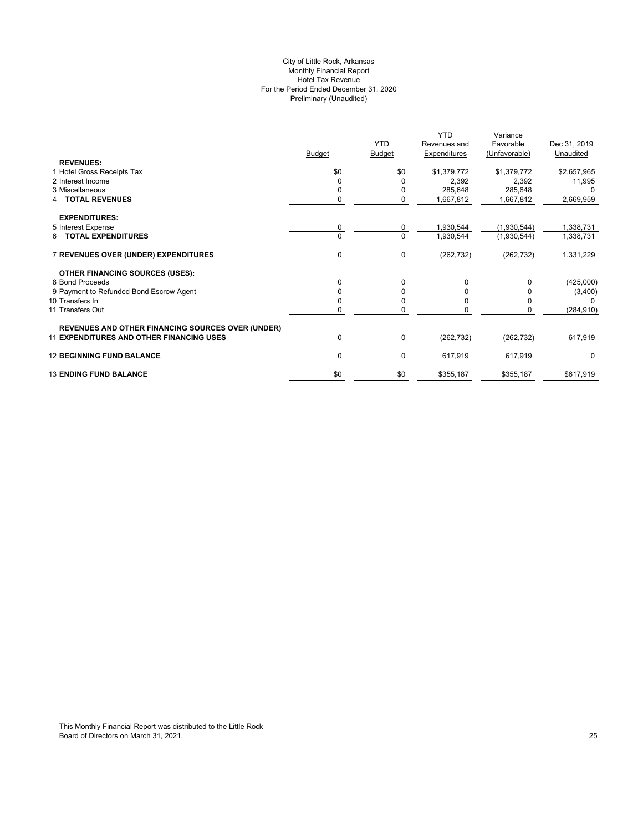# City of Little Rock, Arkansas Monthly Financial Report Hotel Tax Revenue For the Period Ended December 31, 2020 Preliminary (Unaudited)

|                                                          |               |               | <b>YTD</b>   | Variance      |              |
|----------------------------------------------------------|---------------|---------------|--------------|---------------|--------------|
|                                                          |               | <b>YTD</b>    | Revenues and | Favorable     | Dec 31, 2019 |
|                                                          | <b>Budget</b> | <b>Budget</b> | Expenditures | (Unfavorable) | Unaudited    |
| <b>REVENUES:</b>                                         |               |               |              |               |              |
| 1 Hotel Gross Receipts Tax                               | \$0           | \$0           | \$1,379,772  | \$1,379,772   | \$2,657,965  |
| 2 Interest Income                                        | $\Omega$      |               | 2,392        | 2,392         | 11,995       |
| 3 Miscellaneous                                          | 0             |               | 285,648      | 285,648       |              |
| <b>TOTAL REVENUES</b>                                    | $\Omega$      | $\Omega$      | 1,667,812    | 1,667,812     | 2,669,959    |
| <b>EXPENDITURES:</b>                                     |               |               |              |               |              |
| 5 Interest Expense                                       | 0             | 0             | 1,930,544    | (1,930,544)   | 1,338,731    |
| 6 TOTAL EXPENDITURES                                     | $\Omega$      | $\Omega$      | 1,930,544    | (1,930,544)   | 1,338,731    |
| 7 REVENUES OVER (UNDER) EXPENDITURES                     | 0             | 0             | (262, 732)   | (262, 732)    | 1,331,229    |
| <b>OTHER FINANCING SOURCES (USES):</b>                   |               |               |              |               |              |
| 8 Bond Proceeds                                          | $\Omega$      | 0             | $\Omega$     |               | (425,000)    |
| 9 Payment to Refunded Bond Escrow Agent                  |               |               |              |               | (3,400)      |
| 10 Transfers In                                          | $\Omega$      |               | O            |               |              |
| 11 Transfers Out                                         |               |               |              |               | (284, 910)   |
| <b>REVENUES AND OTHER FINANCING SOURCES OVER (UNDER)</b> |               |               |              |               |              |
| <b>11 EXPENDITURES AND OTHER FINANCING USES</b>          | $\mathbf 0$   | 0             | (262, 732)   | (262, 732)    | 617,919      |
| <b>12 BEGINNING FUND BALANCE</b>                         | 0             | 0             | 617,919      | 617,919       | 0            |
| <b>13 ENDING FUND BALANCE</b>                            | \$0           | \$0           | \$355,187    | \$355,187     | \$617,919    |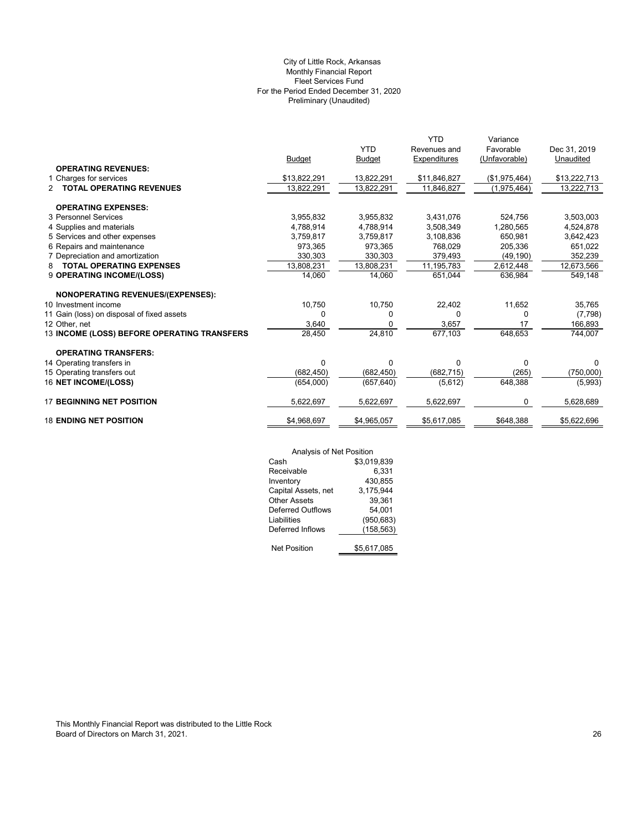# Preliminary (Unaudited) City of Little Rock, Arkansas Monthly Financial Report Fleet Services Fund For the Period Ended December 31, 2020

|                                                  |               |               | <b>YTD</b>   | Variance      |              |
|--------------------------------------------------|---------------|---------------|--------------|---------------|--------------|
|                                                  |               | <b>YTD</b>    | Revenues and | Favorable     | Dec 31, 2019 |
|                                                  | <b>Budget</b> | <b>Budget</b> | Expenditures | (Unfavorable) | Unaudited    |
| <b>OPERATING REVENUES:</b>                       |               |               |              |               |              |
| 1 Charges for services                           | \$13,822,291  | 13,822,291    | \$11,846,827 | (\$1,975,464) | \$13,222,713 |
| <b>TOTAL OPERATING REVENUES</b><br>$\mathcal{P}$ | 13,822,291    | 13,822,291    | 11,846,827   | (1,975,464)   | 13,222,713   |
| <b>OPERATING EXPENSES:</b>                       |               |               |              |               |              |
| 3 Personnel Services                             | 3,955,832     | 3,955,832     | 3,431,076    | 524.756       | 3,503,003    |
| 4 Supplies and materials                         | 4,788,914     | 4,788,914     | 3,508,349    | 1,280,565     | 4,524,878    |
| 5 Services and other expenses                    | 3,759,817     | 3,759,817     | 3,108,836    | 650,981       | 3,642,423    |
| 6 Repairs and maintenance                        | 973,365       | 973,365       | 768,029      | 205,336       | 651,022      |
| 7 Depreciation and amortization                  | 330,303       | 330,303       | 379,493      | (49, 190)     | 352,239      |
| <b>TOTAL OPERATING EXPENSES</b><br>8             | 13,808,231    | 13,808,231    | 11,195,783   | 2,612,448     | 12,673,566   |
| 9 OPERATING INCOME/(LOSS)                        | 14.060        | 14,060        | 651,044      | 636,984       | 549,148      |
| <b>NONOPERATING REVENUES/(EXPENSES):</b>         |               |               |              |               |              |
| 10 Investment income                             | 10,750        | 10,750        | 22,402       | 11,652        | 35,765       |
| 11 Gain (loss) on disposal of fixed assets       | 0             | 0             | 0            | 0             | (7,798)      |
| 12 Other, net                                    | 3,640         | 0             | 3,657        | 17            | 166,893      |
| 13 INCOME (LOSS) BEFORE OPERATING TRANSFERS      | 28,450        | 24,810        | 677,103      | 648,653       | 744,007      |
| <b>OPERATING TRANSFERS:</b>                      |               |               |              |               |              |
| 14 Operating transfers in                        | $\Omega$      | $\Omega$      | 0            | 0             | $\Omega$     |
| 15 Operating transfers out                       | (682, 450)    | (682, 450)    | (682, 715)   | (265)         | (750,000)    |
| 16 NET INCOME/(LOSS)                             | (654,000)     | (657, 640)    | (5,612)      | 648,388       | (5,993)      |
| <b>17 BEGINNING NET POSITION</b>                 | 5,622,697     | 5,622,697     | 5,622,697    | 0             | 5,628,689    |
| <b>18 ENDING NET POSITION</b>                    | \$4,968,697   | \$4,965,057   | \$5,617,085  | \$648.388     | \$5,622,696  |

|                     | Analysis of Net Position |  |  |
|---------------------|--------------------------|--|--|
| Cash                | \$3,019,839              |  |  |
| Receivable          | 6,331                    |  |  |
| Inventory           | 430,855                  |  |  |
| Capital Assets, net | 3,175,944                |  |  |
| <b>Other Assets</b> | 39,361                   |  |  |
| Deferred Outflows   | 54,001                   |  |  |
| Liabilities         | (950, 683)               |  |  |
| Deferred Inflows    | (158,563)                |  |  |
| <b>Net Position</b> | \$5,617,085              |  |  |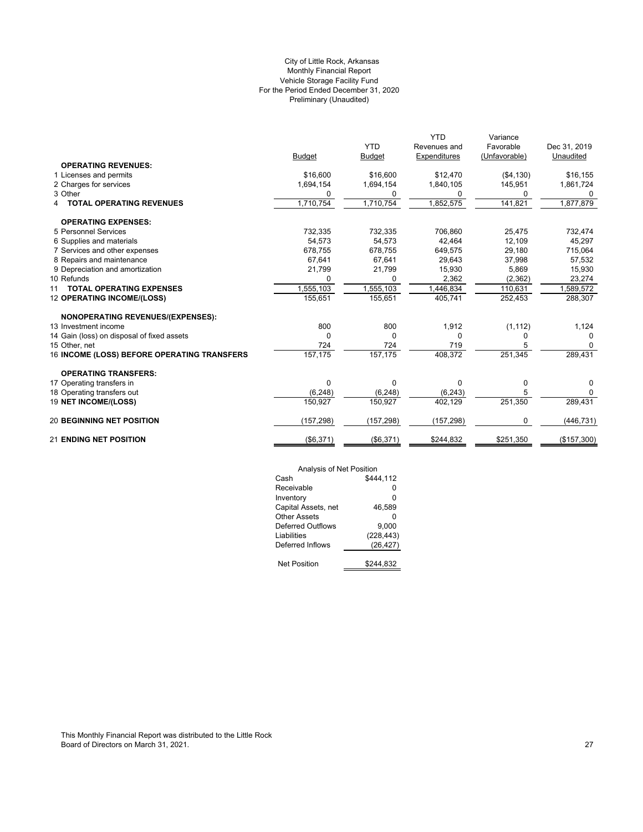# Preliminary (Unaudited) City of Little Rock, Arkansas Monthly Financial Report Vehicle Storage Facility Fund For the Period Ended December 31, 2020

|                                             |               |               | <b>YTD</b>   | Variance      |              |
|---------------------------------------------|---------------|---------------|--------------|---------------|--------------|
|                                             |               | <b>YTD</b>    | Revenues and | Favorable     | Dec 31, 2019 |
|                                             | <b>Budget</b> | <b>Budget</b> | Expenditures | (Unfavorable) | Unaudited    |
| <b>OPERATING REVENUES:</b>                  |               |               |              |               |              |
| 1 Licenses and permits                      | \$16,600      | \$16,600      | \$12,470     | ( \$4,130)    | \$16,155     |
| 2 Charges for services                      | 1.694.154     | 1,694,154     | 1,840,105    | 145,951       | 1,861,724    |
| 3 Other                                     | 0             | 0             | 0            | 0             | 0            |
| <b>TOTAL OPERATING REVENUES</b><br>4        | 1,710,754     | 1,710,754     | 1,852,575    | 141,821       | 1,877,879    |
| <b>OPERATING EXPENSES:</b>                  |               |               |              |               |              |
| 5 Personnel Services                        | 732,335       | 732,335       | 706,860      | 25,475        | 732,474      |
| 6 Supplies and materials                    | 54,573        | 54,573        | 42,464       | 12,109        | 45,297       |
| 7 Services and other expenses               | 678,755       | 678,755       | 649,575      | 29,180        | 715,064      |
| 8 Repairs and maintenance                   | 67,641        | 67,641        | 29,643       | 37,998        | 57,532       |
| 9 Depreciation and amortization             | 21,799        | 21,799        | 15,930       | 5,869         | 15,930       |
| 10 Refunds                                  | 0             | $\Omega$      | 2,362        | (2, 362)      | 23,274       |
| <b>TOTAL OPERATING EXPENSES</b><br>11       | 1,555,103     | 1,555,103     | 1,446,834    | 110,631       | 1,589,572    |
| 12 OPERATING INCOME/(LOSS)                  | 155,651       | 155,651       | 405,741      | 252,453       | 288,307      |
| <b>NONOPERATING REVENUES/(EXPENSES):</b>    |               |               |              |               |              |
| 13 Investment income                        | 800           | 800           | 1,912        | (1, 112)      | 1,124        |
| 14 Gain (loss) on disposal of fixed assets  | $\Omega$      | 0             | $\Omega$     | O             | <sup>0</sup> |
| 15 Other, net                               | 724           | 724           | 719          | 5             | $\Omega$     |
| 16 INCOME (LOSS) BEFORE OPERATING TRANSFERS | 157,175       | 157,175       | 408,372      | 251,345       | 289,431      |
| <b>OPERATING TRANSFERS:</b>                 |               |               |              |               |              |
| 17 Operating transfers in                   | 0             | $\Omega$      | 0            | 0             | 0            |
| 18 Operating transfers out                  | (6, 248)      | (6, 248)      | (6, 243)     |               | $\Omega$     |
| 19 NET INCOME/(LOSS)                        | 150,927       | 150,927       | 402,129      | 251,350       | 289,431      |
| <b>20 BEGINNING NET POSITION</b>            | (157, 298)    | (157, 298)    | (157, 298)   |               | (446, 731)   |
| <b>21 ENDING NET POSITION</b>               | (\$6,371)     | (\$6,371)     | \$244,832    | \$251,350     | (\$157,300)  |

| Analysis of Net Position |            |
|--------------------------|------------|
| Cash                     | \$444.112  |
| Receivable               | ŋ          |
| Inventory                | 0          |
| Capital Assets, net      | 46.589     |
| Other Assets             | ŋ          |
| <b>Deferred Outflows</b> | 9.000      |
| Liabilities              | (228, 443) |
| Deferred Inflows         | (26, 427)  |
|                          |            |
| <b>Net Position</b>      | \$244,832  |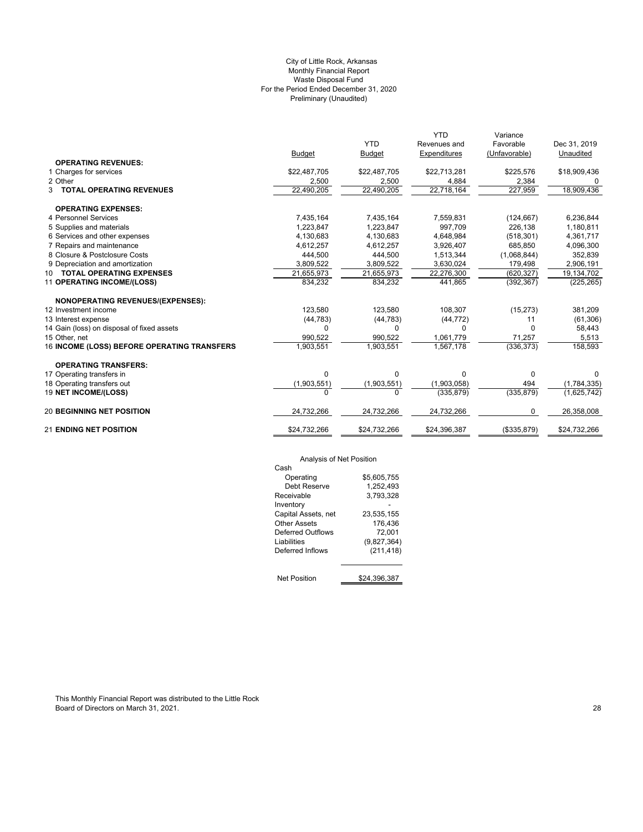# Preliminary (Unaudited) City of Little Rock, Arkansas Monthly Financial Report Waste Disposal Fund For the Period Ended December 31, 2020

|                                             |               |               | <b>YTD</b>          | Variance      |              |
|---------------------------------------------|---------------|---------------|---------------------|---------------|--------------|
|                                             |               | <b>YTD</b>    | Revenues and        | Favorable     | Dec 31, 2019 |
|                                             | <b>Budget</b> | <b>Budget</b> | <b>Expenditures</b> | (Unfavorable) | Unaudited    |
| <b>OPERATING REVENUES:</b>                  |               |               |                     |               |              |
| 1 Charges for services                      | \$22,487,705  | \$22,487,705  | \$22,713,281        | \$225,576     | \$18,909,436 |
| 2 Other                                     | 2,500         | 2,500         | 4,884               | 2,384         |              |
| 3 TOTAL OPERATING REVENUES                  | 22,490,205    | 22,490,205    | 22,718,164          | 227,959       | 18,909,436   |
| <b>OPERATING EXPENSES:</b>                  |               |               |                     |               |              |
| 4 Personnel Services                        | 7,435,164     | 7,435,164     | 7,559,831           | (124, 667)    | 6,236,844    |
| 5 Supplies and materials                    | 1,223,847     | 1,223,847     | 997,709             | 226,138       | 1,180,811    |
| 6 Services and other expenses               | 4,130,683     | 4,130,683     | 4,648,984           | (518, 301)    | 4,361,717    |
| 7 Repairs and maintenance                   | 4,612,257     | 4,612,257     | 3.926.407           | 685.850       | 4,096,300    |
| 8 Closure & Postclosure Costs               | 444,500       | 444,500       | 1,513,344           | (1,068,844)   | 352,839      |
| 9 Depreciation and amortization             | 3,809,522     | 3,809,522     | 3,630,024           | 179,498       | 2,906,191    |
| 10 TOTAL OPERATING EXPENSES                 | 21,655,973    | 21,655,973    | 22,276,300          | (620, 327)    | 19,134,702   |
| 11 OPERATING INCOME/(LOSS)                  | 834,232       | 834,232       | 441,865             | (392, 367)    | (225, 265)   |
| <b>NONOPERATING REVENUES/(EXPENSES):</b>    |               |               |                     |               |              |
| 12 Investment income                        | 123,580       | 123,580       | 108,307             | (15, 273)     | 381,209      |
| 13 Interest expense                         | (44, 783)     | (44, 783)     | (44, 772)           | 11            | (61, 306)    |
| 14 Gain (loss) on disposal of fixed assets  | $\Omega$      | 0             | $\Omega$            | $\Omega$      | 58,443       |
| 15 Other, net                               | 990,522       | 990,522       | 1.061.779           | 71,257        | 5,513        |
| 16 INCOME (LOSS) BEFORE OPERATING TRANSFERS | 1,903,551     | 1,903,551     | 1,567,178           | (336, 373)    | 158,593      |
| <b>OPERATING TRANSFERS:</b>                 |               |               |                     |               |              |
| 17 Operating transfers in                   | $\Omega$      | 0             | 0                   | $\mathbf 0$   | 0            |
| 18 Operating transfers out                  | (1,903,551)   | (1,903,551)   | (1,903,058)         | 494           | (1,784,335)  |
| 19 NET INCOME/(LOSS)                        | $\Omega$      | U             | (335, 879)          | (335, 879)    | (1,625,742)  |
| <b>20 BEGINNING NET POSITION</b>            | 24,732,266    | 24,732,266    | 24,732,266          | 0             | 26,358,008   |
| <b>21 ENDING NET POSITION</b>               | \$24,732,266  | \$24,732,266  | \$24,396,387        | (\$335,879)   | \$24,732,266 |

# Analysis of Net Position

| Alialysis UI NCLF USILIUII |              |
|----------------------------|--------------|
| Cash                       |              |
| Operating                  | \$5.605.755  |
| Debt Reserve               | 1,252,493    |
| Receivable                 | 3.793.328    |
| Inventory                  |              |
| Capital Assets, net        | 23,535,155   |
| Other Assets               | 176,436      |
| Deferred Outflows          | 72,001       |
| Liabilities                | (9,827,364)  |
| Deferred Inflows           | (211, 418)   |
|                            |              |
|                            |              |
| <b>Net Position</b>        | \$24.396.387 |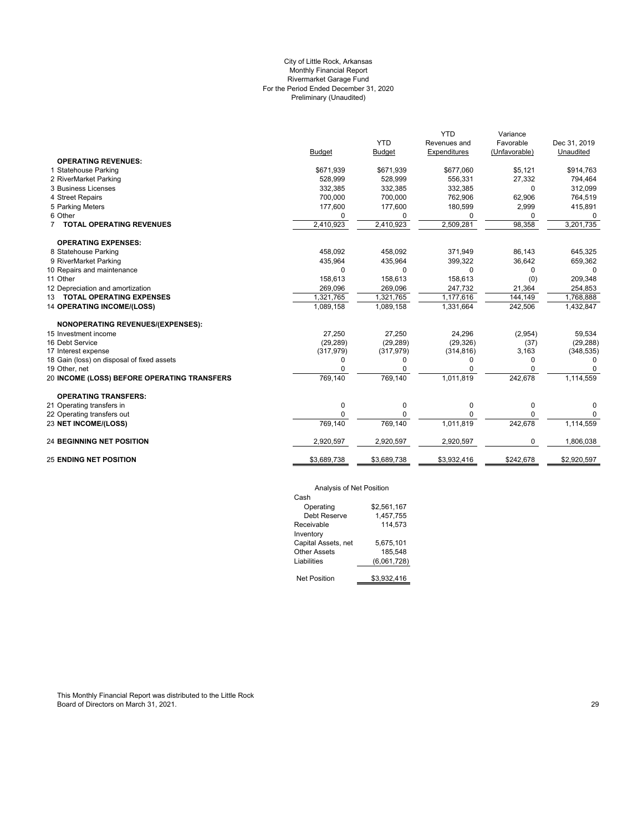# Preliminary (Unaudited) City of Little Rock, Arkansas Monthly Financial Report Rivermarket Garage Fund For the Period Ended December 31, 2020

|               | <b>YTD</b>    |              |               |              |
|---------------|---------------|--------------|---------------|--------------|
|               |               | Revenues and | Favorable     | Dec 31, 2019 |
| <b>Budget</b> | <b>Budget</b> | Expenditures | (Unfavorable) | Unaudited    |
|               |               |              |               |              |
| \$671,939     | \$671,939     | \$677,060    | \$5,121       | \$914,763    |
| 528,999       | 528,999       | 556,331      | 27,332        | 794,464      |
| 332,385       | 332,385       | 332,385      | $\Omega$      | 312,099      |
| 700.000       | 700.000       | 762.906      | 62,906        | 764,519      |
| 177,600       | 177,600       | 180,599      | 2,999         | 415,891      |
| $\Omega$      | 0             | $\Omega$     | 0             | $\Omega$     |
| 2,410,923     | 2,410,923     | 2,509,281    | 98,358        | 3,201,735    |
|               |               |              |               |              |
| 458,092       | 458,092       | 371,949      | 86,143        | 645,325      |
| 435,964       | 435,964       | 399,322      | 36,642        | 659,362      |
| $\Omega$      | 0             | 0            | 0             | $\Omega$     |
| 158,613       | 158,613       | 158,613      | (0)           | 209,348      |
| 269,096       | 269,096       | 247,732      | 21,364        | 254,853      |
| 1,321,765     | 1,321,765     | 1,177,616    | 144,149       | 1,768,888    |
| 1,089,158     | 1,089,158     | 1,331,664    | 242,506       | 1,432,847    |
|               |               |              |               |              |
| 27,250        | 27,250        | 24,296       | (2,954)       | 59,534       |
| (29, 289)     | (29, 289)     | (29, 326)    | (37)          | (29, 288)    |
| (317, 979)    | (317, 979)    | (314, 816)   | 3,163         | (348, 535)   |
| 0             | 0             | $\Omega$     | 0             | $\Omega$     |
| O             | 0             |              | 0             |              |
| 769,140       | 769,140       | 1,011,819    | 242,678       | 1,114,559    |
|               |               |              |               |              |
| 0             | 0             | $\mathbf 0$  | 0             | 0            |
| $\Omega$      | $\Omega$      |              | 0             | 0            |
| 769,140       | 769,140       | 1,011,819    | 242,678       | 1,114,559    |
| 2,920,597     | 2,920,597     | 2,920,597    | 0             | 1,806,038    |
| \$3,689,738   | \$3,689,738   | \$3,932,416  | \$242,678     | \$2,920,597  |
|               |               |              |               |              |

# Analysis of Net Position

| Cash                |             |
|---------------------|-------------|
| Operating           | \$2.561.167 |
| Debt Reserve        | 1,457,755   |
| Receivable          | 114.573     |
| Inventory           |             |
| Capital Assets, net | 5.675.101   |
| Other Assets        | 185.548     |
| Liabilities         | (6,061,728) |
|                     |             |
| Net Position        | \$3.932.416 |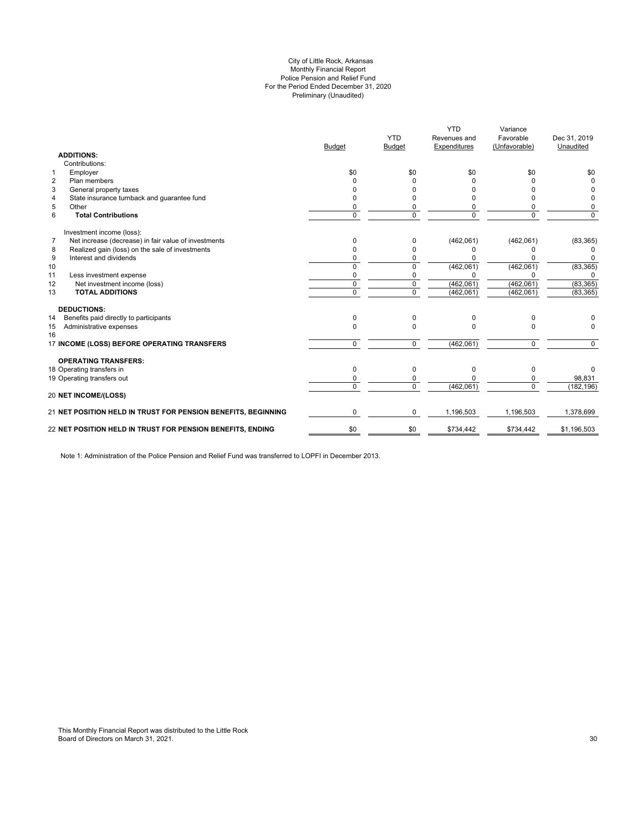#### Preliminary (Unaudited) City of Little Rock, Arkansas Monthly Financial Report Police Pension and Relief Fund For the Period Ended December 31, 2020

|                                                               | <b>Budget</b>  | <b>YTD</b><br>Budget | Revenues and<br>Expenditures | Favorable<br>(Unfavorable) | Dec 31, 2019<br>Unaudited |
|---------------------------------------------------------------|----------------|----------------------|------------------------------|----------------------------|---------------------------|
| <b>ADDITIONS:</b>                                             |                |                      |                              |                            |                           |
| Contributions:                                                |                |                      |                              |                            |                           |
| Employer                                                      | \$0            | \$0                  | \$0                          | \$0                        | \$0                       |
| Plan members                                                  |                |                      |                              |                            |                           |
| General property taxes                                        |                |                      |                              | n                          |                           |
| State insurance turnback and guarantee fund                   |                |                      |                              | ŋ                          | 0                         |
| Other                                                         | 0              | 0                    |                              | 0                          | 0                         |
| <b>Total Contributions</b>                                    | $\Omega$       | $\Omega$             | $\Omega$                     | $\Omega$                   | $\Omega$                  |
| Investment income (loss):                                     |                |                      |                              |                            |                           |
| Net increase (decrease) in fair value of investments          | O              | 0                    | (462,061)                    | (462,061)                  | (83, 365)                 |
| Realized gain (loss) on the sale of investments               |                | $\Omega$             |                              | 0                          | 0                         |
| Interest and dividends                                        |                | 0                    |                              | U                          | O                         |
|                                                               | $\Omega$       | $\Omega$             | (462,061)                    | (462,061)                  | (83, 365)                 |
| Less investment expense                                       | 0              | 0                    |                              | ŋ                          | 0                         |
| Net investment income (loss)                                  | $\Omega$       | $\mathbf 0$          | (462,061)                    | (462,061)                  | (83, 365)                 |
| <b>TOTAL ADDITIONS</b>                                        | $\overline{0}$ | $\overline{0}$       | (462,061)                    | (462,061)                  | (83, 365)                 |
| <b>DEDUCTIONS:</b>                                            |                |                      |                              |                            |                           |
| Benefits paid directly to participants                        | 0              | $\Omega$             | <sup>0</sup>                 | 0                          |                           |
| Administrative expenses                                       | $\Omega$       | $\Omega$             |                              | $\Omega$                   | 0                         |
| 17 INCOME (LOSS) BEFORE OPERATING TRANSFERS                   | $\Omega$       | $\Omega$             | (462,061)                    | $\mathbf 0$                | $\overline{0}$            |
| <b>OPERATING TRANSFERS:</b>                                   |                |                      |                              |                            |                           |
| 18 Operating transfers in                                     | $\Omega$       | $\Omega$             | U                            | 0                          | O                         |
| 19 Operating transfers out                                    |                | $\Omega$             |                              | 0                          | 98,831                    |
| <b>20 NET INCOME/(LOSS)</b>                                   | $\Omega$       | $\Omega$             | (462,061)                    | $\Omega$                   | (182, 196)                |
|                                                               |                |                      |                              |                            |                           |
| 21 NET POSITION HELD IN TRUST FOR PENSION BENEFITS, BEGINNING | $\Omega$       | 0                    | 1,196,503                    | 1,196,503                  | 1,378,699                 |
| 22 NET POSITION HELD IN TRUST FOR PENSION BENEFITS, ENDING    | \$0            | \$0                  | \$734,442                    | \$734,442                  | \$1,196,503               |

Note 1: Administration of the Police Pension and Relief Fund was transferred to LOPFI in December 2013.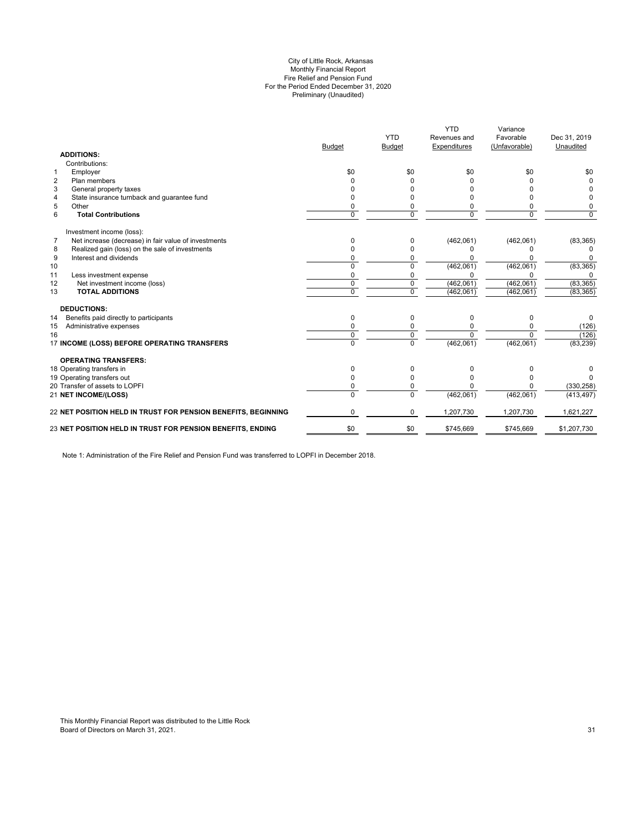#### Preliminary (Unaudited) City of Little Rock, Arkansas Monthly Financial Report Fire Relief and Pension Fund For the Period Ended December 31, 2020

|                |                                                               | <b>Budget</b>  | <b>YTD</b><br><b>Budget</b> | <b>YTD</b><br>Revenues and<br>Expenditures | Variance<br>Favorable<br>(Unfavorable) | Dec 31, 2019<br>Unaudited |
|----------------|---------------------------------------------------------------|----------------|-----------------------------|--------------------------------------------|----------------------------------------|---------------------------|
|                | <b>ADDITIONS:</b><br>Contributions:                           |                |                             |                                            |                                        |                           |
| $\mathbf{1}$   | Employer                                                      | \$0            | \$0                         | \$0                                        | \$0                                    | \$0                       |
| $\overline{2}$ | Plan members                                                  |                |                             |                                            |                                        | $\Omega$                  |
| 3              | General property taxes                                        |                |                             |                                            |                                        |                           |
| 4              | State insurance turnback and guarantee fund                   |                |                             |                                            |                                        |                           |
| 5              | Other                                                         |                |                             |                                            |                                        | 0                         |
| 6              | <b>Total Contributions</b>                                    | $\Omega$       | $\Omega$                    | $\Omega$                                   | $\Omega$                               | $\Omega$                  |
|                | Investment income (loss):                                     |                |                             |                                            |                                        |                           |
| 7              | Net increase (decrease) in fair value of investments          | n              | 0                           | (462,061)                                  | (462,061)                              | (83, 365)                 |
| 8              | Realized gain (loss) on the sale of investments               |                | $\Omega$                    | n                                          |                                        |                           |
| 9              | Interest and dividends                                        |                | 0                           |                                            |                                        | $\Omega$                  |
| 10             |                                                               | $\Omega$       | 0                           | (462,061)                                  | (462,061)                              | (83, 365)                 |
| 11             | Less investment expense                                       |                | 0                           | U                                          |                                        | <sup>0</sup>              |
| 12             | Net investment income (loss)                                  | $\mathbf 0$    | $\mathbf 0$                 | (462,061)                                  | (462,061)                              | (83, 365)                 |
| 13             | <b>TOTAL ADDITIONS</b>                                        | $\Omega$       | $\Omega$                    | (462,061)                                  | (462,061)                              | (83, 365)                 |
|                | <b>DEDUCTIONS:</b>                                            |                |                             |                                            |                                        |                           |
| 14             | Benefits paid directly to participants                        | $\Omega$       | 0                           | $\Omega$                                   | $\Omega$                               | 0                         |
| 15             | Administrative expenses                                       |                | 0                           |                                            |                                        | (126)                     |
| 16             |                                                               | $\Omega$       | 0                           | n                                          |                                        | (126)                     |
|                | 17 INCOME (LOSS) BEFORE OPERATING TRANSFERS                   | $\overline{0}$ | $\overline{0}$              | (462,061)                                  | (462,061)                              | (83, 239)                 |
|                | <b>OPERATING TRANSFERS:</b>                                   |                |                             |                                            |                                        |                           |
|                | 18 Operating transfers in                                     | n              | 0                           |                                            |                                        |                           |
|                | 19 Operating transfers out                                    |                | $\Omega$                    |                                            |                                        |                           |
|                | 20 Transfer of assets to LOPFI                                |                | 0                           |                                            |                                        | (330, 258)                |
|                | 21 NET INCOME/(LOSS)                                          | $\Omega$       | $\Omega$                    | (462,061)                                  | (462,061)                              | (413, 497)                |
|                | 22 NET POSITION HELD IN TRUST FOR PENSION BENEFITS, BEGINNING | 0              | 0                           | 1,207,730                                  | 1,207,730                              | 1,621,227                 |
|                | 23 NET POSITION HELD IN TRUST FOR PENSION BENEFITS, ENDING    | \$0            | \$0                         | \$745,669                                  | \$745,669                              | \$1,207,730               |
|                |                                                               |                |                             |                                            |                                        |                           |

Note 1: Administration of the Fire Relief and Pension Fund was transferred to LOPFI in December 2018.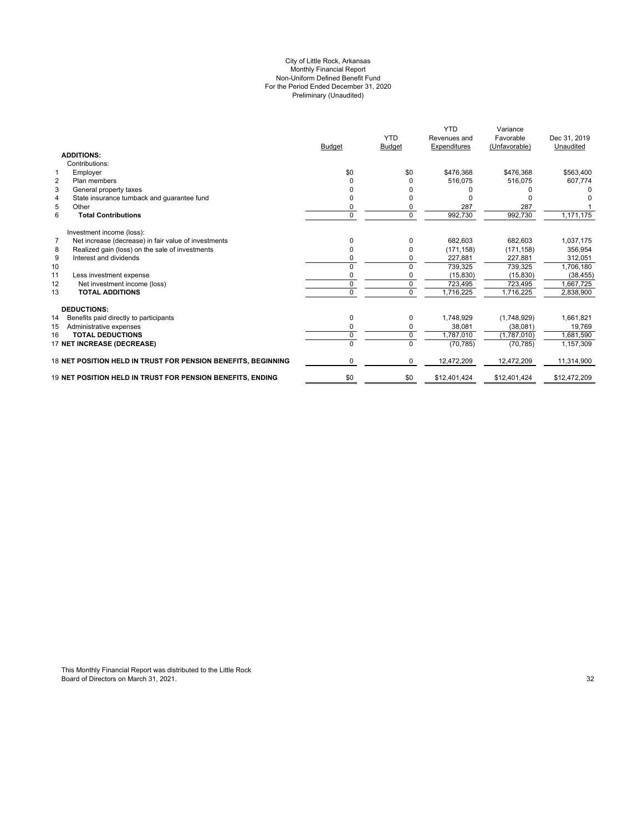#### Preliminary (Unaudited) For the Period Ended December 31, 2020 City of Little Rock, Arkansas Monthly Financial Report Non-Uniform Defined Benefit Fund

|                   |                                                               | <b>Budget</b> | <b>YTD</b><br><b>Budget</b> | <b>YTD</b><br>Revenues and<br>Expenditures | Variance<br>Favorable<br>(Unfavorable) | Dec 31, 2019<br>Unaudited |
|-------------------|---------------------------------------------------------------|---------------|-----------------------------|--------------------------------------------|----------------------------------------|---------------------------|
| <b>ADDITIONS:</b> |                                                               |               |                             |                                            |                                        |                           |
|                   | Contributions:                                                |               |                             |                                            |                                        |                           |
| 1                 | Employer                                                      | \$0           | \$0                         | \$476.368                                  | \$476.368                              | \$563,400                 |
| $\overline{2}$    | Plan members                                                  | O             | 0                           | 516.075                                    | 516.075                                | 607,774                   |
| 3                 | General property taxes                                        |               |                             |                                            |                                        |                           |
| $\overline{4}$    | State insurance turnback and quarantee fund                   |               |                             |                                            |                                        |                           |
| 5<br>Other        |                                                               | 0             |                             | 287                                        | 287                                    |                           |
| 6                 | <b>Total Contributions</b>                                    | $\Omega$      | $\Omega$                    | 992,730                                    | 992,730                                | 1,171,175                 |
|                   | Investment income (loss):                                     |               |                             |                                            |                                        |                           |
| $\overline{7}$    | Net increase (decrease) in fair value of investments          | <sup>0</sup>  | $\Omega$                    | 682.603                                    | 682,603                                | 1,037,175                 |
| 8                 | Realized gain (loss) on the sale of investments               | 0             | 0                           | (171, 158)                                 | (171, 158)                             | 356,954                   |
| 9                 | Interest and dividends                                        | ŋ             | 0                           | 227,881                                    | 227.881                                | 312.051                   |
| 10                |                                                               | U             | 0                           | 739,325                                    | 739,325                                | 1,706,180                 |
| 11                | Less investment expense                                       | ŋ             |                             | (15, 830)                                  | (15, 830)                              | (38, 455)                 |
| 12                | Net investment income (loss)                                  | $\Omega$      | $\mathbf 0$                 | 723,495                                    | 723,495                                | 1,667,725                 |
| 13                | <b>TOTAL ADDITIONS</b>                                        | $\Omega$      | $\Omega$                    | 1,716,225                                  | 1,716,225                              | 2,838,900                 |
|                   | <b>DEDUCTIONS:</b>                                            |               |                             |                                            |                                        |                           |
| 14                | Benefits paid directly to participants                        | $\Omega$      | 0                           | 1,748,929                                  | (1,748,929)                            | 1,661,821                 |
| 15                | Administrative expenses                                       | 0             | 0                           | 38,081                                     | (38,081)                               | 19,769                    |
| 16                | <b>TOTAL DEDUCTIONS</b>                                       | $\mathbf 0$   | $\mathbf 0$                 | 1,787,010                                  | (1,787,010)                            | 1,681,590                 |
|                   | 17 NET INCREASE (DECREASE)                                    | $\Omega$      | $\Omega$                    | (70, 785)                                  | (70, 785)                              | 1,157,309                 |
|                   | 18 NET POSITION HELD IN TRUST FOR PENSION BENEFITS, BEGINNING | $\Omega$      | $\Omega$                    | 12,472,209                                 | 12,472,209                             | 11,314,900                |
|                   | 19 NET POSITION HELD IN TRUST FOR PENSION BENEFITS, ENDING    | \$0           | \$0                         | \$12,401,424                               | \$12,401,424                           | \$12,472,209              |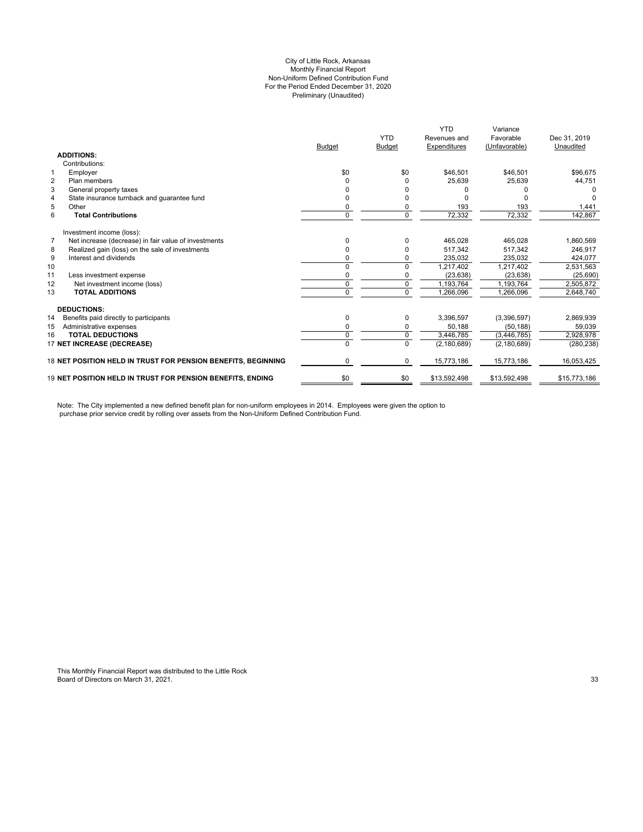#### City of Little Rock, Arkansas Preliminary (Unaudited) For the Period Ended December 31, 2020 Non-Uniform Defined Contribution Fund Monthly Financial Report

|                |                                                                   | <b>Budget</b> | <b>YTD</b><br><b>Budget</b> | <b>YTD</b><br>Revenues and<br>Expenditures | Variance<br>Favorable<br>(Unfavorable) | Dec 31, 2019<br>Unaudited |
|----------------|-------------------------------------------------------------------|---------------|-----------------------------|--------------------------------------------|----------------------------------------|---------------------------|
|                | <b>ADDITIONS:</b>                                                 |               |                             |                                            |                                        |                           |
|                | Contributions:                                                    |               |                             |                                            |                                        |                           |
|                | Employer                                                          | \$0           | \$0                         | \$46,501                                   | \$46.501                               | \$96,675                  |
| $\overline{2}$ | Plan members                                                      |               |                             | 25,639                                     | 25,639                                 | 44,751                    |
| 3              | General property taxes                                            |               |                             |                                            |                                        |                           |
| $\overline{4}$ | State insurance turnback and guarantee fund                       |               |                             |                                            |                                        |                           |
| 5              | Other                                                             | 0             |                             | 193                                        | 193                                    | 1.441                     |
| 6              | <b>Total Contributions</b>                                        | 0             | $\Omega$                    | 72,332                                     | 72,332                                 | 142,867                   |
|                | Investment income (loss):                                         |               |                             |                                            |                                        |                           |
| $\overline{7}$ | Net increase (decrease) in fair value of investments              | n             |                             | 465,028                                    | 465,028                                | 1,860,569                 |
| 8              | Realized gain (loss) on the sale of investments                   | 0             |                             | 517,342                                    | 517.342                                | 246.917                   |
| 9              | Interest and dividends                                            |               |                             | 235,032                                    | 235.032                                | 424.077                   |
| 10             |                                                                   | 0             | $\Omega$                    | 1,217,402                                  | 1,217,402                              | 2,531,563                 |
| 11             | Less investment expense                                           | 0             |                             | (23, 638)                                  | (23, 638)                              | (25, 690)                 |
| 12             | Net investment income (loss)                                      | 0             | 0                           | 1,193,764                                  | 1,193,764                              | 2,505,872                 |
| 13             | <b>TOTAL ADDITIONS</b>                                            | 0             | $\Omega$                    | 1,266,096                                  | 1,266,096                              | 2,648,740                 |
|                | <b>DEDUCTIONS:</b>                                                |               |                             |                                            |                                        |                           |
| 14             | Benefits paid directly to participants                            | 0             | 0                           | 3,396,597                                  | (3,396,597)                            | 2,869,939                 |
| 15             | Administrative expenses                                           | 0             | 0                           | 50,188                                     | (50, 188)                              | 59,039                    |
| 16             | <b>TOTAL DEDUCTIONS</b>                                           | 0             | $\Omega$                    | 3,446,785                                  | (3,446,785)                            | 2,928,978                 |
|                | 17 NET INCREASE (DECREASE)                                        | $\Omega$      | $\Omega$                    | (2, 180, 689)                              | (2, 180, 689)                          | (280, 238)                |
|                | 18 NET POSITION HELD IN TRUST FOR PENSION BENEFITS, BEGINNING     | 0             | 0                           | 15,773,186                                 | 15,773,186                             | 16.053.425                |
|                | <b>19 NET POSITION HELD IN TRUST FOR PENSION BENEFITS. ENDING</b> | \$0           | \$0                         | \$13,592,498                               | \$13,592,498                           | \$15,773,186              |

Note: The City implemented a new defined benefit plan for non-uniform employees in 2014. Employees were given the option to purchase prior service credit by rolling over assets from the Non-Uniform Defined Contribution Fund.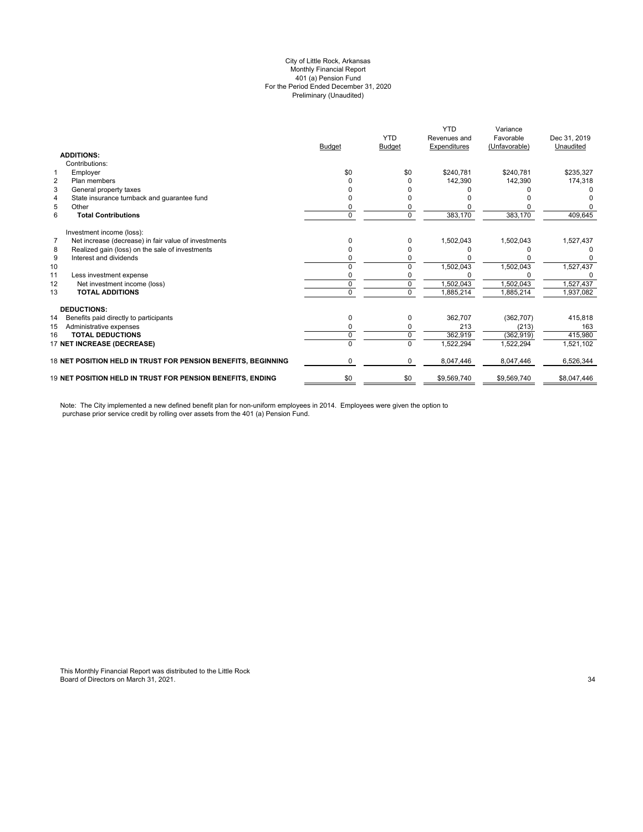#### Preliminary (Unaudited) City of Little Rock, Arkansas Monthly Financial Report 401 (a) Pension Fund For the Period Ended December 31, 2020

|                                                                        |               | <b>YTD</b>    | <b>YTD</b><br>Revenues and | Variance<br>Favorable | Dec 31, 2019 |
|------------------------------------------------------------------------|---------------|---------------|----------------------------|-----------------------|--------------|
|                                                                        | <b>Budget</b> | <b>Budget</b> | Expenditures               | (Unfavorable)         | Unaudited    |
| <b>ADDITIONS:</b>                                                      |               |               |                            |                       |              |
| Contributions:                                                         |               |               |                            |                       |              |
| $\mathbf{1}$<br>Employer                                               | \$0           | \$0           | \$240.781                  | \$240.781             | \$235,327    |
| $\overline{2}$<br>Plan members                                         | ი             | O             | 142,390                    | 142,390               | 174,318      |
| 3<br>General property taxes                                            |               |               |                            |                       |              |
| State insurance turnback and guarantee fund<br>$\overline{4}$          |               |               |                            |                       |              |
| 5<br>Other                                                             |               |               |                            |                       |              |
| 6<br><b>Total Contributions</b>                                        | 0             | $\Omega$      | 383,170                    | 383,170               | 409,645      |
| Investment income (loss):                                              |               |               |                            |                       |              |
| $\overline{7}$<br>Net increase (decrease) in fair value of investments | n             | 0             | 1,502,043                  | 1,502,043             | 1,527,437    |
| Realized gain (loss) on the sale of investments<br>8                   |               |               |                            |                       |              |
| 9<br>Interest and dividends                                            |               |               |                            |                       | 0            |
| 10                                                                     |               |               | 1,502,043                  | 1,502,043             | 1,527,437    |
| 11<br>Less investment expense                                          |               |               |                            |                       |              |
| 12<br>Net investment income (loss)                                     | U             | $\Omega$      | 1,502,043                  | 1,502,043             | 1,527,437    |
| 13<br><b>TOTAL ADDITIONS</b>                                           | n             | $\Omega$      | 1,885,214                  | 1,885,214             | 1,937,082    |
| <b>DEDUCTIONS:</b>                                                     |               |               |                            |                       |              |
| 14<br>Benefits paid directly to participants                           | 0             | 0             | 362.707                    | (362, 707)            | 415,818      |
| 15<br>Administrative expenses                                          | ი             | 0             | 213                        | (213)                 | 163          |
| <b>TOTAL DEDUCTIONS</b><br>16                                          | 0             | 0             | 362,919                    | (362, 919)            | 415,980      |
| 17 NET INCREASE (DECREASE)                                             |               | $\Omega$      | 1,522,294                  | 1,522,294             | 1,521,102    |
| 18 NET POSITION HELD IN TRUST FOR PENSION BENEFITS, BEGINNING          | 0             | 0             | 8,047,446                  | 8,047,446             | 6,526,344    |
| <b>19 NET POSITION HELD IN TRUST FOR PENSION BENEFITS. ENDING</b>      | \$0           | \$0           | \$9,569,740                | \$9,569,740           | \$8,047,446  |

Note: The City implemented a new defined benefit plan for non-uniform employees in 2014. Employees were given the option to purchase prior service credit by rolling over assets from the 401 (a) Pension Fund.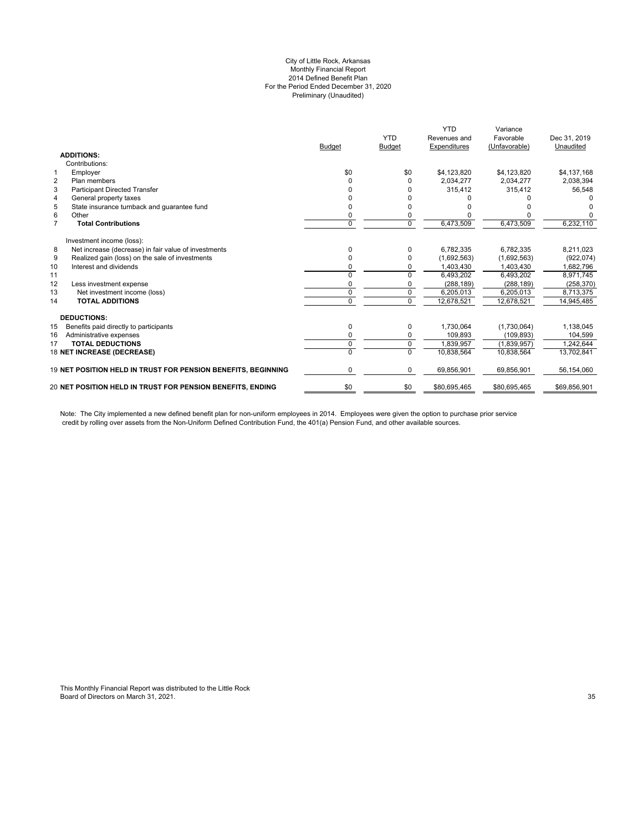#### City of Little Rock, Arkansas Monthly Financial Report 2014 Defined Benefit Plan For the Period Ended December 31, 2020 Preliminary (Unaudited)

|                |                                                               |               |                | <b>YTD</b>   | Variance      |              |
|----------------|---------------------------------------------------------------|---------------|----------------|--------------|---------------|--------------|
|                |                                                               |               | <b>YTD</b>     | Revenues and | Favorable     | Dec 31, 2019 |
|                |                                                               | <b>Budget</b> | <b>Budget</b>  | Expenditures | (Unfavorable) | Unaudited    |
|                | <b>ADDITIONS:</b>                                             |               |                |              |               |              |
|                | Contributions:                                                |               |                |              |               |              |
| $\mathbf{1}$   | Employer                                                      | \$0           | \$0            | \$4,123,820  | \$4,123,820   | \$4,137,168  |
| $\overline{2}$ | Plan members                                                  |               | O              | 2,034,277    | 2,034,277     | 2,038,394    |
| 3              | <b>Participant Directed Transfer</b>                          |               |                | 315,412      | 315,412       | 56,548       |
| $\overline{4}$ | General property taxes                                        |               |                |              |               |              |
| 5              | State insurance turnback and quarantee fund                   |               |                |              |               |              |
| 6              | Other                                                         | 0             |                |              |               |              |
| $\overline{7}$ | <b>Total Contributions</b>                                    | $\Omega$      | $\Omega$       | 6,473,509    | 6,473,509     | 6,232,110    |
|                | Investment income (loss):                                     |               |                |              |               |              |
| 8              | Net increase (decrease) in fair value of investments          | 0             | 0              | 6,782,335    | 6,782,335     | 8,211,023    |
| 9              | Realized gain (loss) on the sale of investments               |               | 0              | (1,692,563)  | (1,692,563)   | (922, 074)   |
| 10             | Interest and dividends                                        | 0             | O              | 1.403.430    | 1.403.430     | 1,682,796    |
| 11             |                                                               | O             | $\Omega$       | 6,493,202    | 6,493,202     | 8,971,745    |
| 12             | Less investment expense                                       | 0             |                | (288, 189)   | (288, 189)    | (258, 370)   |
| 13             | Net investment income (loss)                                  | $\Omega$      | $\Omega$       | 6,205,013    | 6,205,013     | 8,713,375    |
| 14             | <b>TOTAL ADDITIONS</b>                                        | 0             | $\mathbf 0$    | 12,678,521   | 12,678,521    | 14,945,485   |
|                | <b>DEDUCTIONS:</b>                                            |               |                |              |               |              |
| 15             | Benefits paid directly to participants                        | 0             | 0              | 1,730,064    | (1,730,064)   | 1,138,045    |
| 16             | Administrative expenses                                       | 0             | 0              | 109,893      | (109, 893)    | 104,599      |
| 17             | <b>TOTAL DEDUCTIONS</b>                                       | 0             | $\overline{0}$ | 1.839.957    | (1,839,957)   | 1,242,644    |
|                | 18 NET INCREASE (DECREASE)                                    | 0             | $\Omega$       | 10.838.564   | 10,838,564    | 13,702,841   |
|                | 19 NET POSITION HELD IN TRUST FOR PENSION BENEFITS, BEGINNING | 0             | 0              | 69,856,901   | 69,856,901    | 56,154,060   |
|                | 20 NET POSITION HELD IN TRUST FOR PENSION BENEFITS, ENDING    | \$0           | \$0            | \$80,695,465 | \$80,695,465  | \$69,856,901 |

Note: The City implemented a new defined benefit plan for non-uniform employees in 2014. Employees were given the option to purchase prior service credit by rolling over assets from the Non-Uniform Defined Contribution Fund, the 401(a) Pension Fund, and other available sources.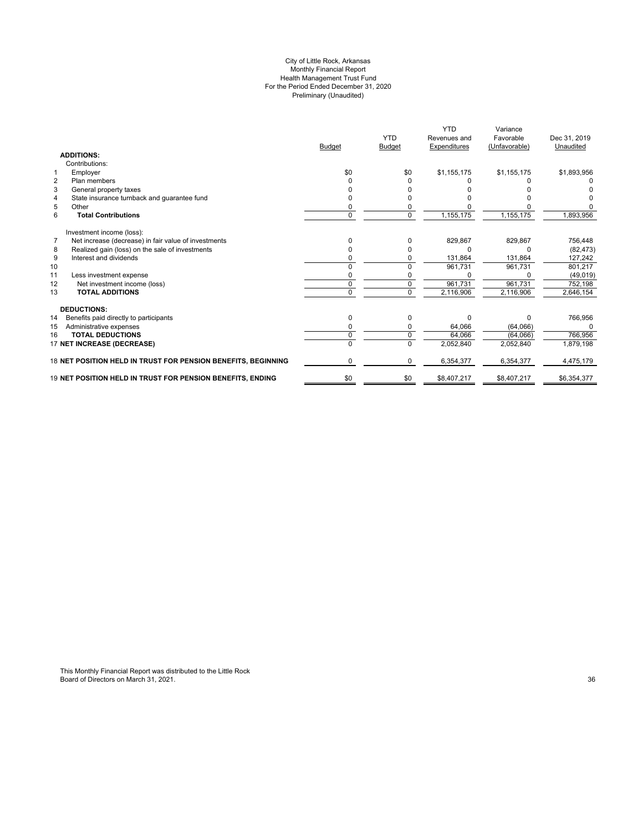#### City of Little Rock, Arkansas Monthly Financial Report Health Management Trust Fund For the Period Ended December 31, 2020 Preliminary (Unaudited)

|                                                                        |               |               | <b>YTD</b>   | Variance      |              |
|------------------------------------------------------------------------|---------------|---------------|--------------|---------------|--------------|
|                                                                        |               | <b>YTD</b>    | Revenues and | Favorable     | Dec 31, 2019 |
|                                                                        | <b>Budget</b> | <b>Budget</b> | Expenditures | (Unfavorable) | Unaudited    |
| <b>ADDITIONS:</b>                                                      |               |               |              |               |              |
| Contributions:                                                         |               |               |              |               |              |
| Employer<br>$\mathbf{1}$                                               | \$0           | \$0           | \$1,155,175  | \$1,155,175   | \$1,893,956  |
| $\overline{2}$<br>Plan members                                         |               |               |              |               |              |
| 3<br>General property taxes                                            |               |               |              |               |              |
| State insurance turnback and quarantee fund<br>4                       |               |               |              |               |              |
| 5<br>Other                                                             | 0             |               |              |               |              |
| 6<br><b>Total Contributions</b>                                        | 0             | $\Omega$      | 1,155,175    | 1,155,175     | 1,893,956    |
| Investment income (loss):                                              |               |               |              |               |              |
| $\overline{7}$<br>Net increase (decrease) in fair value of investments | <sup>0</sup>  | o             | 829,867      | 829,867       | 756,448      |
| Realized gain (loss) on the sale of investments<br>8                   | 0             |               | 0            | $\Omega$      | (82, 473)    |
| 9<br>Interest and dividends                                            | ŋ             | O             | 131,864      | 131,864       | 127,242      |
| 10                                                                     | 0             | U             | 961.731      | 961,731       | 801,217      |
| 11<br>Less investment expense                                          | ŋ             |               |              |               | (49, 019)    |
| 12<br>Net investment income (loss)                                     | $\Omega$      | $\Omega$      | 961,731      | 961,731       | 752,198      |
| 13<br><b>TOTAL ADDITIONS</b>                                           | $\Omega$      | $\Omega$      | 2,116,906    | 2,116,906     | 2,646,154    |
| <b>DEDUCTIONS:</b>                                                     |               |               |              |               |              |
| 14<br>Benefits paid directly to participants                           | 0             | $\Omega$      | $\Omega$     | $\Omega$      | 766,956      |
| Administrative expenses<br>15                                          | 0             | $\Omega$      | 64,066       | (64,066)      | $\Omega$     |
| <b>TOTAL DEDUCTIONS</b><br>16                                          | 0             | $\Omega$      | 64.066       | (64,066)      | 766,956      |
| 17 NET INCREASE (DECREASE)                                             |               |               | 2,052,840    | 2,052,840     | 1,879,198    |
| 18 NET POSITION HELD IN TRUST FOR PENSION BENEFITS, BEGINNING          | 0             | $\Omega$      | 6,354,377    | 6,354,377     | 4,475,179    |
| <b>19 NET POSITION HELD IN TRUST FOR PENSION BENEFITS. ENDING</b>      | \$0           | \$0           | \$8,407,217  | \$8,407,217   | \$6,354,377  |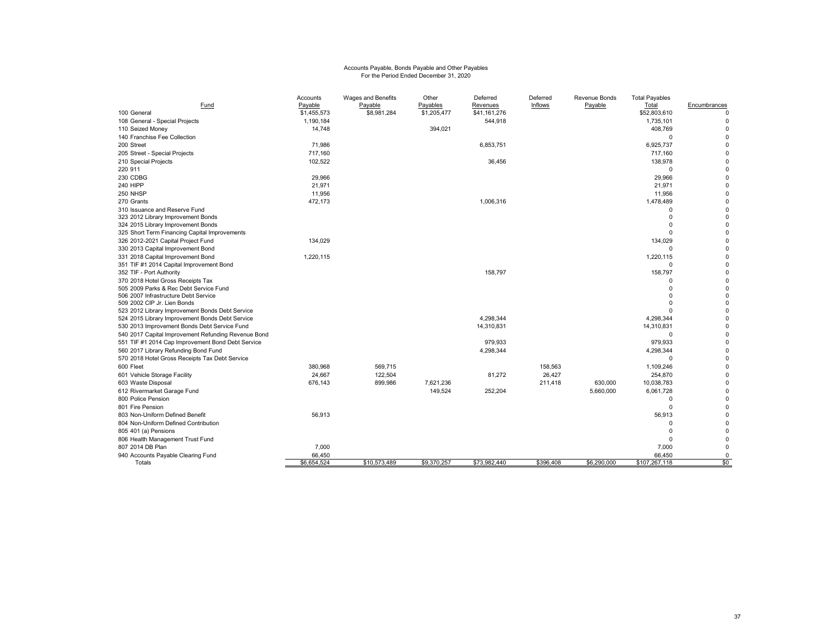# Accounts Payable, Bonds Payable and Other Payables For the Period Ended December 31, 2020

|                                                     | Accounts    | Wages and Benefits | Other       | Deferred     | Deferred  | Revenue Bonds | <b>Total Payables</b>  |                            |
|-----------------------------------------------------|-------------|--------------------|-------------|--------------|-----------|---------------|------------------------|----------------------------|
| Fund                                                | Payable     | Payable            | Payables    | Revenues     | Inflows   | Payable       | Total                  | Encumbrances               |
| 100 General                                         | \$1,455,573 | \$8,981,284        | \$1,205,477 | \$41,161,276 |           |               | \$52,803,610           | $\Omega$                   |
| 108 General - Special Projects                      | 1,190,184   |                    |             | 544,918      |           |               | 1,735,101              | 0                          |
| 110 Seized Money                                    | 14,748      |                    | 394,021     |              |           |               | 408,769                | $\Omega$                   |
| 140 Franchise Fee Collection                        |             |                    |             |              |           |               | $\Omega$               | $\Omega$                   |
| 200 Street                                          | 71,986      |                    |             | 6,853,751    |           |               | 6,925,737              | $\mathbf 0$                |
| 205 Street - Special Projects                       | 717,160     |                    |             |              |           |               | 717,160                | $\mathbf 0$                |
| 210 Special Projects                                | 102,522     |                    |             | 36,456       |           |               | 138,978                | $\Omega$                   |
| 220 911                                             |             |                    |             |              |           |               | $\Omega$               | $\mathbf 0$                |
| 230 CDBG                                            | 29,966      |                    |             |              |           |               | 29,966                 | $\mathbf 0$                |
| 240 HIPP                                            | 21,971      |                    |             |              |           |               | 21,971                 | $\mathbf 0$                |
| 250 NHSP                                            | 11,956      |                    |             |              |           |               | 11,956                 | $\mathbf 0$                |
| 270 Grants                                          | 472,173     |                    |             | 1,006,316    |           |               | 1,478,489              | $\mathbf 0$                |
| 310 Issuance and Reserve Fund                       |             |                    |             |              |           |               |                        | $\mathbf 0$                |
| 323 2012 Library Improvement Bonds                  |             |                    |             |              |           |               | $\Omega$               | $\mathbf 0$                |
| 324 2015 Library Improvement Bonds                  |             |                    |             |              |           |               | $\Omega$               | $\mathbf 0$                |
| 325 Short Term Financing Capital Improvements       |             |                    |             |              |           |               |                        | $\mathbf 0$                |
| 326 2012-2021 Capital Project Fund                  | 134,029     |                    |             |              |           |               | 134,029                | $\mathbf 0$                |
| 330 2013 Capital Improvement Bond                   |             |                    |             |              |           |               |                        | $\pmb{0}$                  |
| 331 2018 Capital Improvement Bond                   | 1,220,115   |                    |             |              |           |               | 1,220,115              | $\mathbf 0$                |
| 351 TIF #1 2014 Capital Improvement Bond            |             |                    |             |              |           |               |                        | $\mathbf 0$                |
| 352 TIF - Port Authority                            |             |                    |             | 158,797      |           |               | 158,797                | $\mathbf 0$                |
| 370 2018 Hotel Gross Receipts Tax                   |             |                    |             |              |           |               | n                      | $\mathbf 0$                |
| 505 2009 Parks & Rec Debt Service Fund              |             |                    |             |              |           |               | $\Omega$               | $\pmb{0}$                  |
| 506 2007 Infrastructure Debt Service                |             |                    |             |              |           |               | $\Omega$               | $\mathbf 0$                |
| 509 2002 CIP Jr. Lien Bonds                         |             |                    |             |              |           |               | $\Omega$               | $\mathbf 0$                |
| 523 2012 Library Improvement Bonds Debt Service     |             |                    |             |              |           |               |                        | $\mathbf 0$                |
| 524 2015 Library Improvement Bonds Debt Service     |             |                    |             | 4,298,344    |           |               | 4,298,344              | $\mathbf 0$<br>$\mathbf 0$ |
| 530 2013 Improvement Bonds Debt Service Fund        |             |                    |             | 14,310,831   |           |               | 14,310,831<br>$\Omega$ | $\mathbf 0$                |
| 540 2017 Capital Improvement Refunding Revenue Bond |             |                    |             |              |           |               |                        |                            |
| 551 TIF #1 2014 Cap Improvement Bond Debt Service   |             |                    |             | 979.933      |           |               | 979.933                | $\mathbf 0$                |
| 560 2017 Library Refunding Bond Fund                |             |                    |             | 4,298,344    |           |               | 4,298,344              | $\mathbf 0$                |
| 570 2018 Hotel Gross Receipts Tax Debt Service      |             |                    |             |              |           |               |                        | $\mathbf 0$                |
| 600 Fleet                                           | 380,968     | 569,715            |             |              | 158,563   |               | 1,109,246              | $\pmb{0}$                  |
| 601 Vehicle Storage Facility                        | 24,667      | 122,504            |             | 81,272       | 26,427    |               | 254,870                | $\mathbf 0$                |
| 603 Waste Disposal                                  | 676,143     | 899,986            | 7,621,236   |              | 211,418   | 630,000       | 10,038,783             | $\pmb{0}$<br>$\mathbf 0$   |
| 612 Rivermarket Garage Fund                         |             |                    | 149,524     | 252,204      |           | 5,660,000     | 6,061,728              |                            |
| 800 Police Pension                                  |             |                    |             |              |           |               | $\Omega$               | $\mathbf 0$                |
| 801 Fire Pension                                    |             |                    |             |              |           |               | $\Omega$               | $\mathbf 0$                |
| 803 Non-Uniform Defined Benefit                     | 56,913      |                    |             |              |           |               | 56,913                 | $\mathbf 0$                |
| 804 Non-Uniform Defined Contribution                |             |                    |             |              |           |               | $\Omega$               | $\mathbf 0$                |
| 805 401 (a) Pensions                                |             |                    |             |              |           |               | $\Omega$               | $\mathbf 0$                |
| 806 Health Management Trust Fund                    |             |                    |             |              |           |               | $\Omega$               | $\mathbf 0$                |
| 807 2014 DB Plan                                    | 7,000       |                    |             |              |           |               | 7,000                  | $\mathbf 0$                |
| 940 Accounts Payable Clearing Fund                  | 66,450      |                    |             |              |           |               | 66,450                 | 0                          |
| Totals                                              | \$6,654,524 | \$10,573,489       | \$9,370,257 | \$73,982,440 | \$396,408 | \$6,290,000   | \$107,267,118          | \$0                        |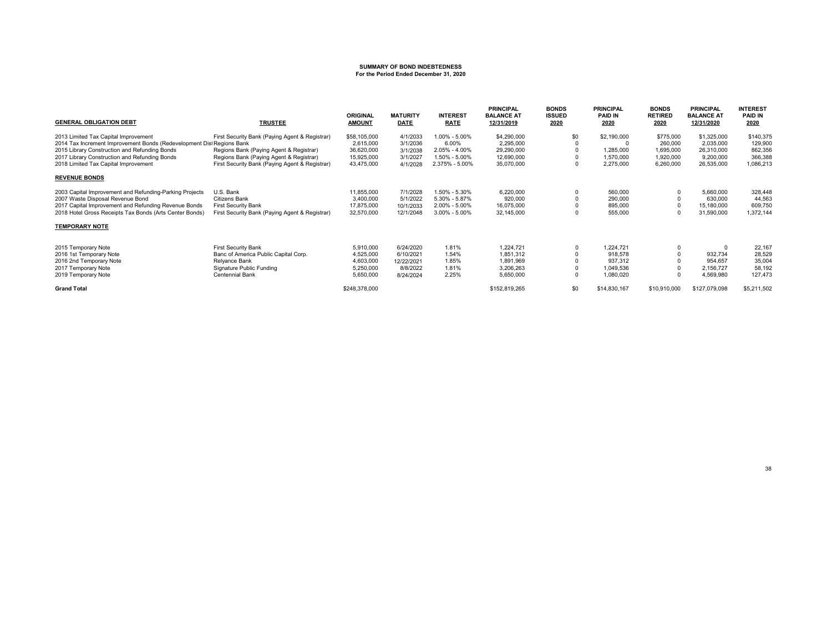# **SUMMARY OF BOND INDEBTEDNESS For the Period Ended December 31, 2020**

| <b>GENERAL OBLIGATION DEBT</b>                                        | <b>TRUSTEE</b>                                 | <b>ORIGINAL</b><br><b>AMOUNT</b> | <b>MATURITY</b><br><b>DATE</b> | <b>INTEREST</b><br><b>RATE</b> | <b>PRINCIPAL</b><br><b>BALANCE AT</b><br>12/31/2019 | <b>BONDS</b><br><b>ISSUED</b><br>2020 | <b>PRINCIPAL</b><br><b>PAID IN</b><br>2020 | <b>BONDS</b><br><b>RETIRED</b><br>2020 | <b>PRINCIPAL</b><br><b>BALANCE AT</b><br>12/31/2020 | <b>INTEREST</b><br><b>PAID IN</b><br>2020 |
|-----------------------------------------------------------------------|------------------------------------------------|----------------------------------|--------------------------------|--------------------------------|-----------------------------------------------------|---------------------------------------|--------------------------------------------|----------------------------------------|-----------------------------------------------------|-------------------------------------------|
| 2013 Limited Tax Capital Improvement                                  | First Security Bank (Paying Agent & Registrar) | \$58,105,000                     | 4/1/2033                       | 1.00% - 5.00%                  | \$4,290,000                                         | \$0                                   | \$2,190,000                                | \$775,000                              | \$1,325,000                                         | \$140,375                                 |
| 2014 Tax Increment Improvement Bonds (Redevelopment Dist Regions Bank |                                                | 2.615.000                        | 3/1/2036                       | 6.00%                          | 2,295,000                                           |                                       | $\Omega$                                   | 260,000                                | 2,035,000                                           | 129,900                                   |
| 2015 Library Construction and Refunding Bonds                         | Regions Bank (Paying Agent & Registrar)        | 36,620,000                       | 3/1/2038                       | 2.05% - 4.00%                  | 29,290,000                                          |                                       | 1,285,000                                  | 1,695,000                              | 26,310,000                                          | 862,356                                   |
| 2017 Library Construction and Refunding Bonds                         | Regions Bank (Paying Agent & Registrar)        | 15,925,000                       | 3/1/2027                       | 1.50% - 5.00%                  | 12.690.000                                          |                                       | 1.570.000                                  | 1,920,000                              | 9,200,000                                           | 366,388                                   |
| 2018 Limited Tax Capital Improvement                                  | First Security Bank (Paying Agent & Registrar) | 43,475,000                       | 4/1/2028                       | 2.375% - 5.00%                 | 35,070,000                                          |                                       | 2,275,000                                  | 6,260,000                              | 26,535,000                                          | 1,086,213                                 |
| <b>REVENUE BONDS</b>                                                  |                                                |                                  |                                |                                |                                                     |                                       |                                            |                                        |                                                     |                                           |
| 2003 Capital Improvement and Refunding-Parking Projects               | U.S. Bank                                      | 11,855,000                       | 7/1/2028                       | 1.50% - 5.30%                  | 6,220,000                                           |                                       | 560,000                                    |                                        | 5,660,000                                           | 328,448                                   |
| 2007 Waste Disposal Revenue Bond                                      | Citizens Bank                                  | 3,400,000                        | 5/1/2022                       | 5.30% - 5.87%                  | 920,000                                             |                                       | 290,000                                    |                                        | 630,000                                             | 44,563                                    |
| 2017 Capital Improvement and Refunding Revenue Bonds                  | <b>First Security Bank</b>                     | 17,875,000                       | 10/1/2033                      | 2.00% - 5.00%                  | 16,075,000                                          |                                       | 895,000                                    |                                        | 15,180,000                                          | 609,750                                   |
| 2018 Hotel Gross Receipts Tax Bonds (Arts Center Bonds)               | First Security Bank (Paying Agent & Registrar) | 32,570,000                       | 12/1/2048                      | $3.00\% - 5.00\%$              | 32,145,000                                          |                                       | 555,000                                    |                                        | 31,590,000                                          | 1,372,144                                 |
| <b>TEMPORARY NOTE</b>                                                 |                                                |                                  |                                |                                |                                                     |                                       |                                            |                                        |                                                     |                                           |
| 2015 Temporary Note                                                   | <b>First Security Bank</b>                     | 5.910.000                        | 6/24/2020                      | 1.81%                          | 1.224.721                                           |                                       | 1.224.721                                  |                                        | $\Omega$                                            | 22,167                                    |
| 2016 1st Temporary Note                                               | Banc of America Public Capital Corp.           | 4,525,000                        | 6/10/2021                      | 1.54%                          | 1,851,312                                           |                                       | 918,578                                    |                                        | 932.734                                             | 28,529                                    |
| 2016 2nd Temporary Note                                               | Relyance Bank                                  | 4,603,000                        | 12/22/2021                     | 1.85%                          | 1,891,969                                           |                                       | 937,312                                    |                                        | 954.657                                             | 35,004                                    |
| 2017 Temporary Note                                                   | Signature Public Funding                       | 5,250,000                        | 8/8/2022                       | 1.81%                          | 3,206,263                                           |                                       | 1,049,536                                  |                                        | 2,156,727                                           | 58,192                                    |
| 2019 Temporary Note                                                   | Centennial Bank                                | 5,650,000                        | 8/24/2024                      | 2.25%                          | 5,650,000                                           |                                       | 1,080,020                                  |                                        | 4,569,980                                           | 127.473                                   |
| <b>Grand Total</b>                                                    |                                                | \$248,378,000                    |                                |                                | \$152,819,265                                       | \$0                                   | \$14,830,167                               | \$10,910,000                           | \$127,079,098                                       | \$5,211,502                               |